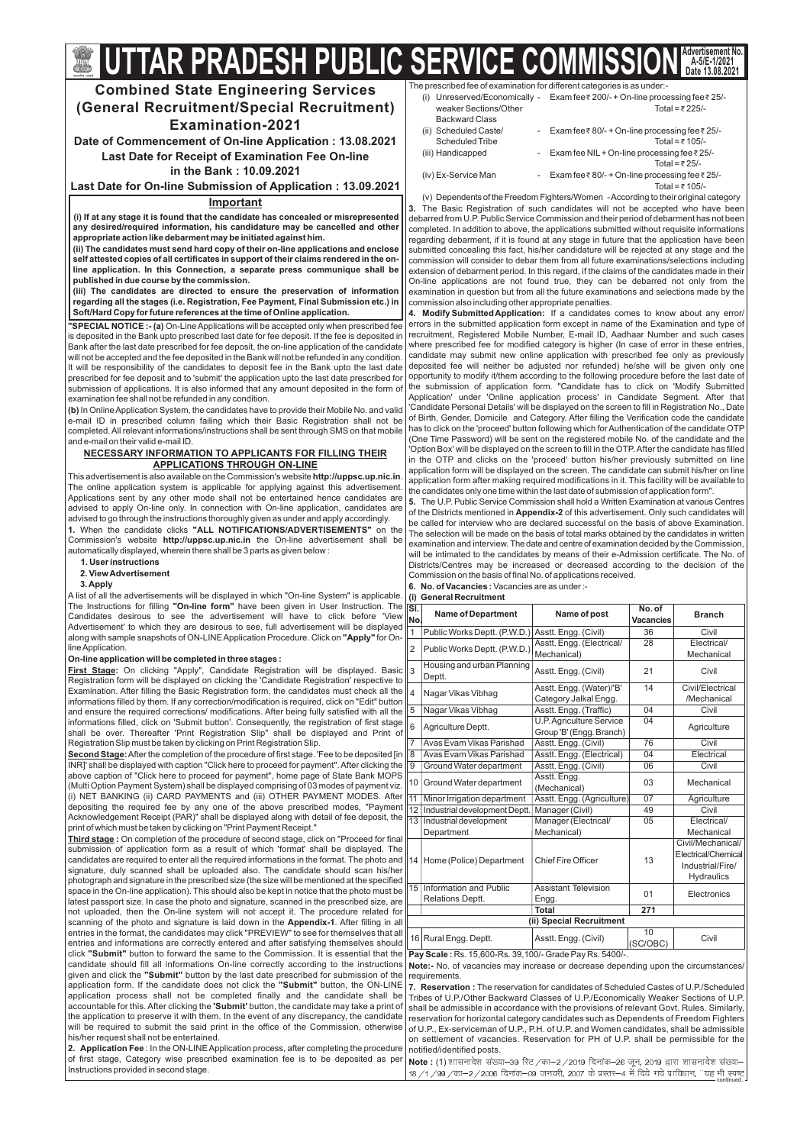The prescribed fee of examination for different categories is as under:-

Total = ₹ 105/-(v) Dependentsofthe Freedom Fighters/Women -According to their original category The Basic Registration of such candidates will not be accepted who have been **3.** debarred from U.P. Public Service Commission and their period of debarment has not been completed. In addition to above, the applications submitted without requisite informations regarding debarment, if it is found at any stage in future that the application have been submitted concealing this fact, his/her candidature will be rejected at any stage and the commission will consider to debar them from all future examinations/selections including extension of debarment period. In this regard, if the claims of the candidates made in their On-line applications are not found true, they can be debarred not only from the examination in question but from all the future examinations and selections made by the commission also including other appropriate penalties.

**4. Modify Submitted Application:** If a candidates comes to know about any error/ errors in the submitted application form except in name of the Examination and type of recruitment, Registered Mobile Number, E-mail ID, Aadhaar Number and such cases where prescribed fee for modified category is higher (In case of error in these entries, candidate may submit new online application with prescribed fee only as previously deposited fee will neither be adjusted nor refunded) he/she will be given only one opportunity to modify it/them according to the following procedure before the last date of the submission of application form. "Candidate has to click on 'Modify Submitted Application' under 'Online application process' in Candidate Segment. After that 'Candidate Personal Details' will be displayed on the screen to fill in Registration No., Date of Birth, Gender, Domicile and Category. After filling the Verification code the candidate has to click on the 'proceed' button following which for Authentication of the candidate OTP (One Time Password) will be sent on the registered mobile No. of the candidate and the 'Option Box' will be displayed on the screen to fill in the OTP. After the candidate has filled in the OTP and clicks on the 'proceed' button his/her previously submitted on line application form will be displayed on the screen. The candidate can submit his/her on line application form after making required modifications in it. This facility will be available to the candidates only one time within the last date of submission of application form".

**5.** The U.P. Public Service Commission shall hold a Written Examination at various Centres of the Districts mentioned in **Appendix-2** of this advertisement. Only such candidates will be called for interview who are declared successful on the basis of above Examination. The selection will be made on the basis of total marks obtained by the candidates in written examination and interview. The date and centre of examination decided by the Commission, will be intimated to the candidates by means of their e-Admission certificate. The No. of Districts/Centres may be increased or decreased according to the decision of the Commission on the basis of final No. of applications received.

6. No. of Vacancies : Vacancies are as under :-

7. Reservation : The reservation for candidates of Scheduled Castes of U.P./Scheduled Tribes of U.P./Other Backward Classes of U.P./Economically Weaker Sections of U.P. shall be admissible in accordance with the provisions of relevant Govt. Rules. Similarly, reservation for horizontal category candidates such as Dependents of Freedom Fighters of U.P., Ex-serviceman of U.P., P.H. of U.P. and Women candidates, shall be admissible on settlement of vacancies. Reservation for PH of U.P. shall be permissible for the notified/identified posts.

**Note : (1)** शासनादेश संख्या–39 रिट /का–2 /2019 दिनांक–26 जून, 2019 द्वारा शासनादेश संख्या– 18 / 1 / 99 / का—2 / 2006 दिनांक—09 जनवरी, 2007 के प्रस्तर—4 में दिये गये प्राविधान, ''यह भी स्पष्ट<br>continued..

|                        | (i) Unreserved/Economically - Exam fee₹200/-+On-line processing fee₹25/- |
|------------------------|--------------------------------------------------------------------------|
| weaker Sections/Other  | Total = ₹225/-                                                           |
| <b>Backward Class</b>  |                                                                          |
| (ii) Scheduled Caste/  | - Exam fee ₹80/- + On-line processing fee ₹25/-                          |
| <b>Scheduled Tribe</b> | Total = $\bar{x}$ 105/-                                                  |
| (iii) Handicapped      | - Exam fee NIL + On-line processing fee ₹ 25/-                           |
|                        | Total = $\overline{z}$ 25/-                                              |
| (iv) Ex-Service Man    | - Exam fee $\bar{\tau}$ 80/- + On-line processing fee $\bar{\tau}$ 25/-  |
|                        |                                                                          |

requirements.

This advertisement is also available on the Commission's website **http://uppsc.up.nic.in**. The online application system is applicable for applying against this advertisement. Applications sent by any other mode shall not be entertained hence candidates are advised to apply On-line only. In connection with On-line application, candidates are advised to go through the instructions thoroughly given as under and apply accordingly.

#### **(i) General Recruitment**

**1.** When the candidate clicks "ALL NOTIFICATIONS/ADVERTISEMENTS" on the Commission's website **http://uppsc.up.nic.in** the On-line advertisement shall be automatically displayed, wherein there shall be 3 parts as given below :

The Instructions for filling **"On-line form"** have been given in User Instruction. The along with sample snapshots of ON-LINE Application Procedure. Click on **"Apply"** for On-A list of all the advertisements will be displayed in which "On-line System" is applicable. Candidates desirous to see the advertisement will have to click before 'View Advertisement' to which they are desirous to see, full advertisement will be displayed lineApplication.

| ŠÍ.<br>No.      | <b>Name of Department</b>                                                        | Name of post                                         | No. of<br><b>Vacancies</b> | <b>Branch</b>       |  |  |
|-----------------|----------------------------------------------------------------------------------|------------------------------------------------------|----------------------------|---------------------|--|--|
| $\mathbf{1}$    | Public Works Deptt. (P.W.D.)                                                     | Asstt. Engg. (Civil)                                 | 36                         | Civil               |  |  |
| 2               | Public Works Deptt. (P.W.D.)                                                     | Asstt. Engg. (Electrical/                            | 28                         | Electrical/         |  |  |
|                 |                                                                                  | Mechanical)                                          |                            | Mechanical          |  |  |
| 3               | Housing and urban Planning<br>Deptt.                                             | Asstt. Engg. (Civil)                                 | 21                         | Civil               |  |  |
| 4               | Nagar Vikas Vibhag                                                               | Asstt. Engg. (Water)/'B'                             | 14                         | Civil/Electrical    |  |  |
|                 |                                                                                  | Category Jalkal Engg.                                |                            | /Mechanical         |  |  |
| $\overline{5}$  | Nagar Vikas Vibhag                                                               | Asstt. Engg. (Traffic)                               | $\overline{04}$            | Civil               |  |  |
| 6               | Agriculture Deptt.                                                               | U.P. Agriculture Service<br>Group 'B' (Engg. Branch) | 04                         | Agriculture         |  |  |
| $\overline{7}$  | Avas Evam Vikas Parishad                                                         | Asstt. Engg. (Civil)                                 | 76                         | Civil               |  |  |
| $\overline{8}$  | Avas Evam Vikas Parishad                                                         | Asstt. Engg. (Electrical)                            | 04                         | Electrical          |  |  |
| $\overline{9}$  | Ground Water department                                                          | Asstt. Engg. (Civil)                                 | 06                         | Civil               |  |  |
| 10              |                                                                                  | Asstt. Engg.                                         | 03                         | Mechanical          |  |  |
|                 | Ground Water department                                                          | (Mechanical)                                         |                            |                     |  |  |
| $\overline{11}$ | Minor Irrigation department                                                      | Asstt. Engg. (Agriculture)                           | 07                         | Agriculture         |  |  |
| 12              | Industrial development Deptt.                                                    | Manager (Civil)                                      | 49                         | Civil               |  |  |
| 13              | Industrial development                                                           | Manager (Electrical/                                 | 05                         | Electrical/         |  |  |
|                 | Department                                                                       | Mechanical)                                          |                            | Mechanical          |  |  |
|                 |                                                                                  |                                                      |                            | Civil/Mechanical/   |  |  |
| 14              | Home (Police) Department                                                         | <b>Chief Fire Officer</b>                            | 13                         | Electrical/Chemical |  |  |
|                 |                                                                                  |                                                      |                            | Industrial/Fire/    |  |  |
|                 |                                                                                  |                                                      |                            | Hydraulics          |  |  |
| $\overline{15}$ | Information and Public                                                           | <b>Assistant Television</b>                          | 01                         | Electronics         |  |  |
|                 | Relations Deptt.                                                                 | Engg.                                                |                            |                     |  |  |
|                 |                                                                                  | <b>Total</b>                                         | $\overline{271}$           |                     |  |  |
|                 |                                                                                  | (ii) Special Recruitment                             |                            |                     |  |  |
|                 | 16 Rural Engg. Deptt.                                                            | Asstt. Engg. (Civil)                                 | 10<br>(SC/OBC)             | Civil               |  |  |
|                 | $Bay$ Caste: $De$ , $AE$ $EQQ$ , $De$ , $20, 400$ , $Cz$ and $Day$ $De$ , $E400$ |                                                      |                            |                     |  |  |

**Pay Scale: Rs. 15,600-Rs. 39,100/- Grade Pay Rs. 5400/-.** 

**<u>Second Stage</u>:** After the completion of the procedure of first stage. 'Fee to be deposited [in INR]' shall be displayed with caption "Click here to proceed for payment". After clicking the above caption of "Click here to proceed for payment", home page of State Bank MOPS (Multi Option Payment System) shall be displayed comprising of 03 modes of payment viz. (i) NET BANKING (ii) CARD PAYMENTS and (iii) OTHER PAYMENT MODES. After depositing the required fee by any one of the above prescribed modes, "Payment Acknowledgement Receipt (PAR)" shall be displayed along with detail of fee deposit, the print of which must be taken by clicking on "Print Payment Receipt."

**Combined State Engineering Services (General Recruitment/Special Recruitment) Examination-2021**

## **Important**

candidate should fill all informations On-line correctly according to the instructions **Note:-** No. of vacancies may increase or decrease depending upon the circumstances/ **:** On completion of the procedure of second stage, click on "Proceed for final **Third stage** scanning of the photo and signature is laid down in the **Appendix-1**. After filling in all click "Submit" button to forward the same to the Commission. It is essential that the given and click the **"Submit"** button by the last date prescribed for submission of the application form. If the candidate does not click the "Submit" button, the ON-LINE accountable for this. After clicking the **'Submit'** button, the candidate may take a print of **2. Application Fee** : In the ON-LINE Application process, after completing the procedure submission of application form as a result of which 'format' shall be displayed. The candidates are required to enter all the required informations in the format. The photo and signature, duly scanned shall be uploaded also. The candidate should scan his/her photograph and signature in the prescribed size (the size will be mentioned at the specified space in the On-line application). This should also be kept in notice that the photo must be latest passport size. In case the photo and signature, scanned in the prescribed size, are not uploaded, then the On-line system will not accept it. The procedure related for entries in the format, the candidates may click "PREVIEW" to see for themselves that all entries and informations are correctly entered and after satisfying themselves should application process shall not be completed finally and the candidate shall be the application to preserve it with them. In the event of any discrepancy, the candidate will be required to submit the said print in the office of the Commission, otherwise his/her request shall not be entertained. of first stage, Category wise prescribed examination fee is to be deposited as per Instructions provided in second stage.

**(i) If at any stage it is found that the candidate has concealed or misrepresented any desired/required information, his candidature may be cancelled and other appropriate action like debarment may be initiated against him.**

**(ii) The candidates must send hard copy of their on-line applications and enclose self attested copies of all certificates in support of their claims rendered in the online application. In this Connection, a separate press communique shall be published in due course by the commission.**

**(iii) The candidates are directed to ensure the preservation of information regarding all the stages (i.e. Registration, Fee Payment, Final Submission etc.) in Soft/Hard Copy for future references at the time of Online application.**

**1. User instructions**

### **2. ViewAdvertisement**

### **3.Apply**

### **On-line application will be completed in three stages :**

**"SPECIAL NOTICE :- (a)** On-Line Applications will be accepted only when prescribed fee is deposited in the Bank upto prescribed last date for fee deposit. If the fee is deposited in Bank after the last date prescribed for fee deposit, the on-line application of the candidate will not be accepted and the fee deposited in the Bank will not be refunded in any condition. It will be responsibility of the candidates to deposit fee in the Bank upto the last date prescribed for fee deposit and to 'submit' the application upto the last date prescribed for submission of applications. It is also informed that any amount deposited in the form of examination fee shall not be refunded in any condition.

**(b)** In OnlineApplication System, the candidates have to provide their Mobile No. and valid e-mail ID in prescribed column failing which their Basic Registration shall not be completed.All relevant informations/instructions shall be sent through SMS on that mobile and e-mail on their valid e-mail ID.

**:** On clicking "Apply", Candidate Registration will be displayed. Basic **First Stage** Registration form will be displayed on clicking the 'Candidate Registration' respective to Examination. After filling the Basic Registration form, the candidates must check all the informations filled by them. If any correction/modification is required, click on "Edit" button and ensure the required corrections/ modifications. After being fully satisfied with all the informations filled, click on 'Submit button'. Consequently, the registration of first stage shall be over. Thereafter 'Print Registration Slip" shall be displayed and Print of Registration Slip must be taken by clicking on Print Registration Slip.

**Date of Commencement of On-line Application : 13.08.2021 Last Date for Receipt of Examination Fee On-line in the Bank : 10.09.2021**

**Last Date for On-line Submission of Application : 13.09.2021**

## **NECESSARY INFORMATION TO APPLICANTS FOR FILLING THEIR APPLICATIONS THROUGH ON-LINE**

**UTTAR PRADESH PUBLIC SERVICE COMMISSION Advertisement No.**

**A-5/E-1/2021 Date 13.08.2021**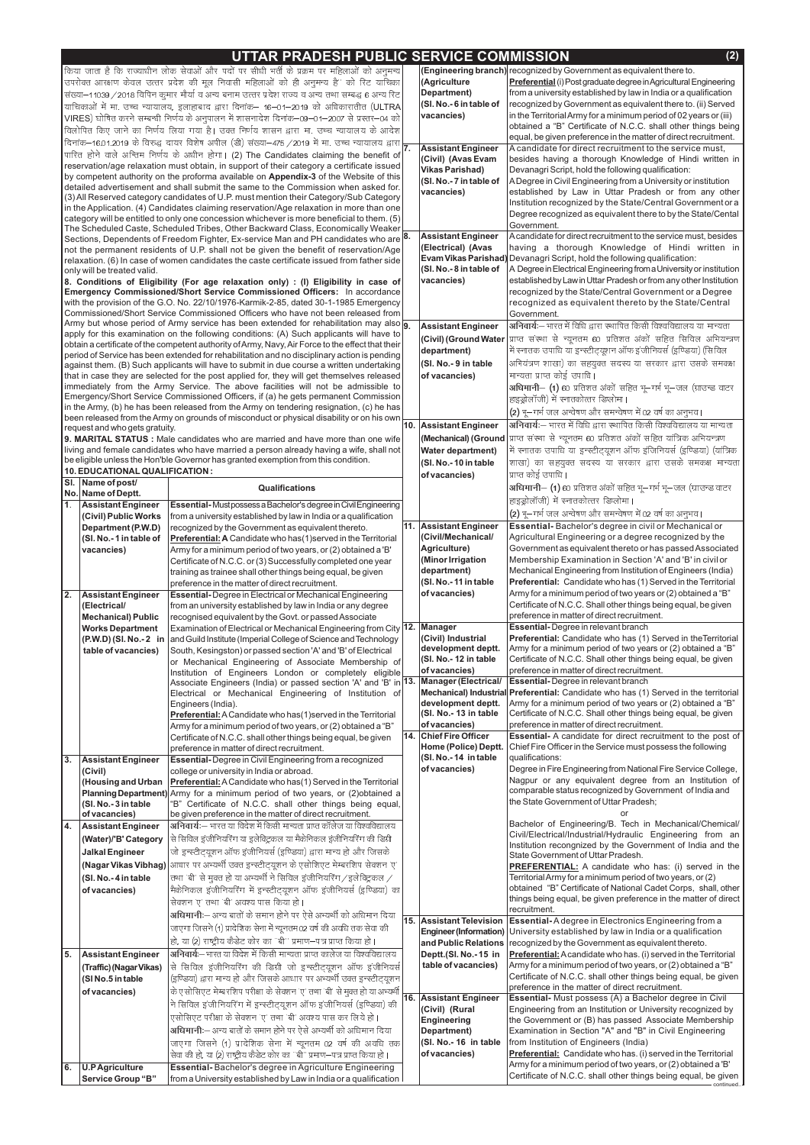## UTTAR PRADESH PUBLIC SERVICE COMMISSION (Engineering branch) recognized by Government as equivalent there to.

(Agriculture

Department)

vacancies)

(SI. No.-6 in table of

किया जाता है कि राज्याधीन लोक सेवाओं और पदों पर सीधी भर्ती के प्रक्रम पर महिलाओं को अनुमन्य उपरोक्त आरक्षण केवल उत्तर प्रदेश की मूल निवासी महिलाओं को ही अनुमन्य है" को रिट याचिका संख्या–11039 / 2018 विपिन कुमार मौर्या व अन्य बनाम उत्तर प्रदेश राज्य व अन्य तथा सम्बद्ध 6 अन्य रिट याचिकाओं में मां उच्च न्यायालय, इलाहाबाद द्वारा दिनाक- 16-01-2019 को अधिकारातीत (ULTRA VIRES) घोषित करने सम्बन्धी निर्णय के अनुपालन में शासनादेश दिनांक–09–01–2007 से प्रस्तर–04 को विलोपित किए जाने का निर्णय लिया गया है। उक्त निर्णय शासन द्वारा मां उच्च न्यायालय के आदेश  $\Delta \approx$  $-491$ 

|                  |                                                   | ואט וא טיין שויות איט וזויל א טיין וואס ויוויס א טיין וואס ויוויס א טיין וואס וואס וואס וואס וואס וואס וואס וו<br> दिनांक–16.01.2019 के विरुद्ध दायर विशेष अपील (डी) संख्या–475/2019 में मा. उच्च न्यायालय द्वारा  <b>7.</b> |                           | equal, be given preference in the matter of direct recruitment.                                                                                 |
|------------------|---------------------------------------------------|------------------------------------------------------------------------------------------------------------------------------------------------------------------------------------------------------------------------------|---------------------------|-------------------------------------------------------------------------------------------------------------------------------------------------|
|                  |                                                   |                                                                                                                                                                                                                              | <b>Assistant Engineer</b> | A candidate for direct recruitment to the service must,                                                                                         |
|                  |                                                   | पारित होने वाले अन्तिम निर्णय के अधीन होगा। (2) The Candidates claiming the benefit of                                                                                                                                       | (Civil) (Avas Evam        | besides having a thorough Knowledge of Hindi written in                                                                                         |
|                  |                                                   | reservation/age relaxation must obtain, in support of their category a certificate issued                                                                                                                                    | <b>Vikas Parishad)</b>    | Devanagri Script, hold the following qualification:                                                                                             |
|                  |                                                   | by competent authority on the proforma available on Appendix-3 of the Website of this                                                                                                                                        | (SI. No.-7 in table of    | A Degree in Civil Engineering from a University or institution                                                                                  |
|                  |                                                   | detailed advertisement and shall submit the same to the Commission when asked for.<br>(3) All Reserved category candidates of U.P. must mention their Category/Sub Category                                                  | vacancies)                | established by Law in Uttar Pradesh or from any other                                                                                           |
|                  |                                                   | in the Application. (4) Candidates claiming reservation/Age relaxation in more than one                                                                                                                                      |                           | Institution recognized by the State/Central Government or a                                                                                     |
|                  |                                                   | category will be entitled to only one concession whichever is more beneficial to them. (5)                                                                                                                                   |                           | Degree recognized as equivalent there to by the State/Cental                                                                                    |
|                  |                                                   | The Scheduled Caste, Scheduled Tribes, Other Backward Class, Economically Weaker                                                                                                                                             |                           | Government.                                                                                                                                     |
|                  |                                                   | Sections, Dependents of Freedom Fighter, Ex-service Man and PH candidates who are 8.                                                                                                                                         | <b>Assistant Engineer</b> | A candidate for direct recruitment to the service must, besides                                                                                 |
|                  |                                                   | not the permanent residents of U.P. shall not be given the benefit of reservation/Age                                                                                                                                        | (Electrical) (Avas        | having a thorough Knowledge of Hindi written in                                                                                                 |
|                  |                                                   | relaxation. (6) In case of women candidates the caste certificate issued from father side                                                                                                                                    |                           | Evam Vikas Parishad) Devanagri Script, hold the following qualification:                                                                        |
|                  | only will be treated valid.                       |                                                                                                                                                                                                                              | (SI. No.-8 in table of    | A Degree in Electrical Engineering from a University or institution                                                                             |
|                  |                                                   | 8. Conditions of Eligibility (For age relaxation only) : (I) Eligibility in case of                                                                                                                                          | vacancies)                | established by Law in Uttar Pradesh or from any other Institution                                                                               |
|                  |                                                   | Emergency Commissioned/Short Service Commissioned Officers: In accordance                                                                                                                                                    |                           | recognized by the State/Central Government or a Degree                                                                                          |
|                  |                                                   | with the provision of the G.O. No. 22/10/1976-Karmik-2-85, dated 30-1-1985 Emergency                                                                                                                                         |                           | recognized as equivalent thereto by the State/Central                                                                                           |
|                  |                                                   | Commissioned/Short Service Commissioned Officers who have not been released from                                                                                                                                             |                           | Government.                                                                                                                                     |
|                  |                                                   | Army but whose period of Army service has been extended for rehabilitation may also $\overline{9}$                                                                                                                           | <b>Assistant Engineer</b> | अनिवार्यः— भारत में विधि द्वारा स्थापित किसी विश्वविद्यालय या मान्यता                                                                           |
|                  |                                                   | apply for this examination on the following conditions: (A) Such applicants will have to                                                                                                                                     |                           | (Civil) (Ground Water प्राप्त संस्था से न्यूनतम 60 प्रतिशत अंको सहित सिविल अभियन्त्रण                                                           |
|                  |                                                   | obtain a certificate of the competent authority of Army, Navy, Air Force to the effect that their<br>period of Service has been extended for rehabilitation and no disciplinary action is pending                            | department)               | में स्नातक उपाधि या इन्स्टीट्यूशन ऑफ इंजीनियर्स (इण्डिया) (सिविल                                                                                |
|                  |                                                   | against them. (B) Such applicants will have to submit in due course a written undertaking                                                                                                                                    | (SI. No.- 9 in table      | अभियंत्रण शाखा) का सहयुक्त सदस्य या सरकार द्वारा उसके समकक्ष                                                                                    |
|                  |                                                   | that in case they are selected for the post applied for, they will get themselves released                                                                                                                                   | of vacancies)             | मान्यता प्राप्त कोई उपाधि।                                                                                                                      |
|                  |                                                   | immediately from the Army Service. The above facilities will not be admissible to                                                                                                                                            |                           | अधिमानी- (1) 60 प्रतिशत अंको सहित भू-गर्भ भू-जल (ग्राउन्ड वाटर                                                                                  |
|                  |                                                   | Emergency/Short Service Commissioned Officers, if (a) he gets permanent Commission                                                                                                                                           |                           | हाइड्रोलॉजी) में स्नातकोत्तर डिप्लोमा।                                                                                                          |
|                  |                                                   | in the Army, (b) he has been released from the Army on tendering resignation, (c) he has                                                                                                                                     |                           | (2) भू-गर्भ जल अन्वेषण और समन्वेषण में 02 वर्ष का अनुभव।                                                                                        |
|                  |                                                   | been released from the Army on grounds of misconduct or physical disability or on his own                                                                                                                                    |                           | अनिवार्यः— भारत में विधि द्वारा स्थापित किसी विश्वविद्यालय या मान्यता                                                                           |
|                  | request and who gets gratuity.                    |                                                                                                                                                                                                                              | 10. Assistant Engineer    |                                                                                                                                                 |
|                  |                                                   | 9. MARITAL STATUS : Male candidates who are married and have more than one wife                                                                                                                                              |                           | (Mechanical) (Ground  प्राप्त संस्था से न्यूनतम 60 प्रतिशत अंको सहित यांत्रिक अभियन्त्रण                                                        |
|                  |                                                   | living and female candidates who have married a person already having a wife, shall not                                                                                                                                      | <b>Water department)</b>  | में स्नातक उपाधि या इन्स्टीट्यूशन ऑफ इजिनियर्स (इण्डिया) (यात्रिक                                                                               |
|                  |                                                   | be eligible unless the Hon'ble Governor has granted exemption from this condition.                                                                                                                                           | (SI. No.-10 in table      | शाखा) का सहयुक्त सदस्य या सरकार द्वारा उसके समकक्ष मान्यता                                                                                      |
|                  | 10. EDUCATIONAL QUALIFICATION :                   |                                                                                                                                                                                                                              | of vacancies)             | प्राप्त कोई उपाधि।                                                                                                                              |
|                  | SI. Name of post/                                 | <b>Qualifications</b>                                                                                                                                                                                                        |                           | अधिमानी– (1) 60 प्रतिशत अंको सहित भू–गर्भ भू–जल (ग्राउन्ड वाटर                                                                                  |
|                  | No. Name of Deptt.                                |                                                                                                                                                                                                                              |                           | हाइड्रोलॉजी) में स्नातकोत्तर डिप्लोमा।                                                                                                          |
| $\overline{1}$ . | <b>Assistant Engineer</b><br>(Civil) Public Works | Essential-Mustpossess a Bachelor's degree in Civil Engineering<br>from a university established by law in India or a qualification                                                                                           |                           | (2) भू—गर्भ जल अन्वेषण और समन्वेषण में 02 वर्ष का अनुभव।                                                                                        |
|                  | Department (P.W.D)                                | recognized by the Government as equivalent thereto.                                                                                                                                                                          | 11. Assistant Engineer    | Essential-Bachelor's degree in civil or Mechanical or                                                                                           |
|                  | (SI. No.-1 in table of                            | Preferential: A Candidate who has (1) served in the Territorial                                                                                                                                                              | (Civil/Mechanical/        | Agricultural Engineering or a degree recognized by the                                                                                          |
|                  | vacancies)                                        | Army for a minimum period of two years, or (2) obtained a 'B'                                                                                                                                                                | Agriculture)              | Government as equivalent thereto or has passed Associated                                                                                       |
|                  |                                                   | Certificate of N.C.C. or (3) Successfully completed one year                                                                                                                                                                 | (Minor Irrigation         | Membership Examination in Section 'A' and 'B' in civil or                                                                                       |
|                  |                                                   | training as trainee shall other things being equal, be given                                                                                                                                                                 | department)               | Mechanical Engineering from Institution of Engineers (India)                                                                                    |
|                  |                                                   | preference in the matter of direct recruitment.                                                                                                                                                                              | (SI. No.-11 in table      | Preferential: Candidate who has (1) Served in the Territorial                                                                                   |
| <u> 7.</u>       | <b>Assistant Engineer</b>                         | <b>Essential-</b> Degree in Electrical or Mechanical Engineering                                                                                                                                                             | of vacancies)             | Army for a minimum period of two years or (2) obtained a "B"                                                                                    |
|                  | (Electrical/                                      | from an university established by law in India or any degree                                                                                                                                                                 |                           | Certificate of N.C.C. Shall other things being equal, be given                                                                                  |
|                  |                                                   |                                                                                                                                                                                                                              |                           |                                                                                                                                                 |
|                  |                                                   |                                                                                                                                                                                                                              |                           | preference in matter of direct recruitment.                                                                                                     |
|                  | <b>Mechanical) Public</b>                         | recognised equivalent by the Govt. or passed Associate                                                                                                                                                                       |                           | <b>Essential-</b> Degree in relevant branch                                                                                                     |
|                  | <b>Works Department</b>                           | Examination of Electrical or Mechanical Engineering from City 12.   Manager                                                                                                                                                  | (Civil) Industrial        | Preferential: Candidate who has (1) Served in the Territorial                                                                                   |
|                  | (P.W.D) (SI. No.-2 in<br>table of vacancies)      | and Guild Institute (Imperial College of Science and Technology                                                                                                                                                              | development deptt.        | Army for a minimum period of two years or (2) obtained a "B"                                                                                    |
|                  |                                                   | South, Kesingston) or passed section 'A' and 'B' of Electrical<br>or Mechanical Engineering of Associate Membership of                                                                                                       | (SI. No.- 12 in table     | Certificate of N.C.C. Shall other things being equal, be given                                                                                  |
|                  |                                                   | Institution of Engineers London or completely eligible                                                                                                                                                                       | of vacancies)             | preference in matter of direct recruitment.                                                                                                     |
|                  |                                                   | Associate Engineers (India) or passed section 'A' and 'B' in 13.   Manager (Electrical/                                                                                                                                      |                           | <b>Essential-</b> Degree in relevant branch                                                                                                     |
|                  |                                                   | Electrical or Mechanical Engineering of Institution of                                                                                                                                                                       |                           | Mechanical) Industrial Preferential: Candidate who has (1) Served in the territorial                                                            |
|                  |                                                   | Engineers (India).                                                                                                                                                                                                           | development deptt.        | Army for a minimum period of two years or (2) obtained a "B"                                                                                    |
|                  |                                                   | Preferential: A Candidate who has (1) served in the Territorial                                                                                                                                                              | (SI. No.-13 in table      | Certificate of N.C.C. Shall other things being equal, be given                                                                                  |
|                  |                                                   | Army for a minimum period of two years, or (2) obtained a "B"                                                                                                                                                                | of vacancies)             | preference in matter of direct recruitment.                                                                                                     |
|                  |                                                   | Certificate of N.C.C. shall other things being equal, be given                                                                                                                                                               | 14. Chief Fire Officer    | Essential- A candidate for direct recruitment to the post of                                                                                    |
|                  |                                                   | preference in matter of direct recruitment.                                                                                                                                                                                  | Home (Police) Deptt.      | Chief Fire Officer in the Service must possess the following                                                                                    |
| $\overline{3.}$  | <b>Assistant Engineer</b>                         | Essential-Degree in Civil Engineering from a recognized                                                                                                                                                                      | (SI. No.-14 in table      | qualifications:                                                                                                                                 |
|                  | (Civil)                                           | college or university in India or abroad.                                                                                                                                                                                    | of vacancies)             | Degree in Fire Engineering from National Fire Service College,                                                                                  |
|                  | (Housing and Urban                                | <b>Preferential:</b> A Candidate who has (1) Served in the Territorial                                                                                                                                                       |                           | Nagpur or any equivalent degree from an Institution of                                                                                          |
|                  |                                                   | Planning Department) Army for a minimum period of two years, or (2) obtained a                                                                                                                                               |                           | comparable status recognized by Government of India and<br>the State Government of Uttar Pradesh;                                               |
|                  | (SI. No.-3 in table                               | 'B" Certificate of N.C.C. shall other things being equal,                                                                                                                                                                    |                           |                                                                                                                                                 |
|                  | of vacancies)                                     | be given preference in the matter of direct recruitment.                                                                                                                                                                     |                           | Bachelor of Engineering/B. Tech in Mechanical/Chemical/                                                                                         |
|                  | <b>Assistant Engineer</b>                         | अनिवार्यः— भारत या विदेश में किसी मान्यता प्राप्त कॉलेज या विश्वविद्यालय                                                                                                                                                     |                           | Civil/Electrical/Industrial/Hydraulic Engineering from an                                                                                       |
|                  | (Water)/'B' Category                              | से सिविल इंजीनियरिंग या इलेक्ट्रिकल या मैकेनिकल इंजीनियरिंग की डिग्री                                                                                                                                                        |                           | Institution recongnized by the Government of India and the                                                                                      |
|                  | <b>Jalkal Engineer</b>                            | जो इन्स्टीट्यूशन ऑफ इंजीनियर्स (इण्डिया) द्वारा मान्य हो और जिसके                                                                                                                                                            |                           | State Government of Uttar Pradesh.                                                                                                              |
|                  |                                                   | (Nagar Vikas Vibhag) आधार पर अभ्यर्थी उक्त इन्स्टीट्यूशन के एसोशिएट मेम्बरशिप सेक्शन 'ए'                                                                                                                                     |                           | <b>PREFERENTIAL:</b> A candidate who has: (i) served in the                                                                                     |
|                  | (SI. No.-4 in table                               | तथा 'बी' से मुक्त हो या अभ्यर्थी ने सिविल इंजीनियरिंग / इलेक्ट्रिकल /                                                                                                                                                        |                           | Territorial Army for a minimum period of two years, or (2)                                                                                      |
|                  | of vacancies)                                     | मैकेनिकल इजीनियरिंग में इन्स्टीट्यूशन ऑफ इजीनियर्स (इण्डिया) का                                                                                                                                                              |                           | obtained "B" Certificate of National Cadet Corps, shall, other                                                                                  |
|                  |                                                   | सेक्शन 'ए' तथा 'बी' अवश्य पास किया हो।                                                                                                                                                                                       |                           | things being equal, be given preference in the matter of direct                                                                                 |
|                  |                                                   | अधिमानी:— अन्य बातों के समान होने पर ऐसे अभ्यर्थी को अधिमान दिया                                                                                                                                                             |                           | recruitment.                                                                                                                                    |
|                  |                                                   | जाएगा जिसने (1) प्रादेशिक सेना में न्यूनतम 02 वर्ष की अवधि तक सेवा की                                                                                                                                                        | 15. Assistant Television  | <b>Essential-A degree in Electronics Engineering from a</b><br>Engineer (Information) University established by law in India or a qualification |
|                  |                                                   | हो, या (2) राष्ट्रीय कैडेट कोर का "बी" प्रमाण–पत्र प्राप्त किया हो।                                                                                                                                                          |                           | and Public Relations   recognized by the Government as equivalent thereto.                                                                      |
|                  | <b>Assistant Engineer</b>                         | अनिवार्यः— भारत या विदेश में किसी मान्यता प्राप्त कालेज या विश्वविद्यालय                                                                                                                                                     | Deptt.(SI. No.-15 in      | Preferential: A candidate who has. (i) served in the Territorial                                                                                |
| 4.<br>5.         |                                                   |                                                                                                                                                                                                                              | table of vacancies)       | Army for a minimum period of two years, or (2) obtained a "B"                                                                                   |
|                  | (Traffic) (Nagar Vikas)                           | $\left $ से सिविल इजीनियरिंग की डिग्री जो इन्स्टीट्यूशन ऑफ इजीनियर्स $\left  \right.$                                                                                                                                        |                           | Certificate of N.C.C. shall other things being equal, be given                                                                                  |
|                  | (SI No.5 in table                                 | (इण्डिया) द्वारा मान्य हो और जिसके आधार पर अभ्यर्थी उक्त इन्स्टीट्यूशन                                                                                                                                                       |                           | preference in the matter of direct recruitment.                                                                                                 |
|                  | of vacancies)                                     | के एसोसिएट मेम्बरशिप परीक्षा के सेक्शन 'ए' तथा 'बी' से मुक्त हो या अभ्यर्थी                                                                                                                                                  | 16. Assistant Engineer    | <b>Essential-</b> Must possess (A) a Bachelor degree in Civil                                                                                   |
|                  |                                                   | ने सिविल इजीनियरिंग में इन्स्टीट्यूशन ऑफ इजीनियर्स (इण्ड्या) की                                                                                                                                                              | (Civil) (Rural            | Engineering from an Institution or University recognized by                                                                                     |
|                  |                                                   | एसोसिएट परीक्षा के सेक्शन 'ए' तथा 'बी' अवश्य पास कर लिये हो।                                                                                                                                                                 | <b>Engineering</b>        | the Government or (B) has passed Associate Membership                                                                                           |
|                  |                                                   | <b>अधिमानी</b> ः— अन्य बातों के समान होने पर ऐसे अभ्यर्थी को अधिमान दिया                                                                                                                                                     | Department)               | Examination in Section "A" and "B" in Civil Engineering                                                                                         |
|                  |                                                   | जाएगा जिसने (1) प्रादेशिक सेना में न्यूनतम 02 वर्ष की अवधि तक                                                                                                                                                                | (SI. No.- 16 in table     | from Institution of Engineers (India)                                                                                                           |
|                  |                                                   | सेवा की हो, या (2) राष्ट्रीय कैडेट कोर का "बी" प्रमाण-पत्र प्राप्त किया हो।                                                                                                                                                  | of vacancies)             | Preferential: Candidate who has. (i) served in the Territorial                                                                                  |
| 6.               | <b>U.P Agriculture</b><br>Service Group "B"       | Essential-Bachelor's degree in Agriculture Engineering<br>from a University established by Law in India or a qualification                                                                                                   |                           | Army for a minimum period of two years, or (2) obtained a 'B'<br>Certificate of N.C.C. shall other things being equal, be given                 |

 $(2)$ 

Preferential (i) Post graduate degree in Agricultural Engineering

from a university established by law in India or a qualification

recognized by Government as equivalent there to. (ii) Served

in the Territorial Army for a minimum period of 02 years or (iii)

obtained a "B" Certificate of N.C.C. shall other things being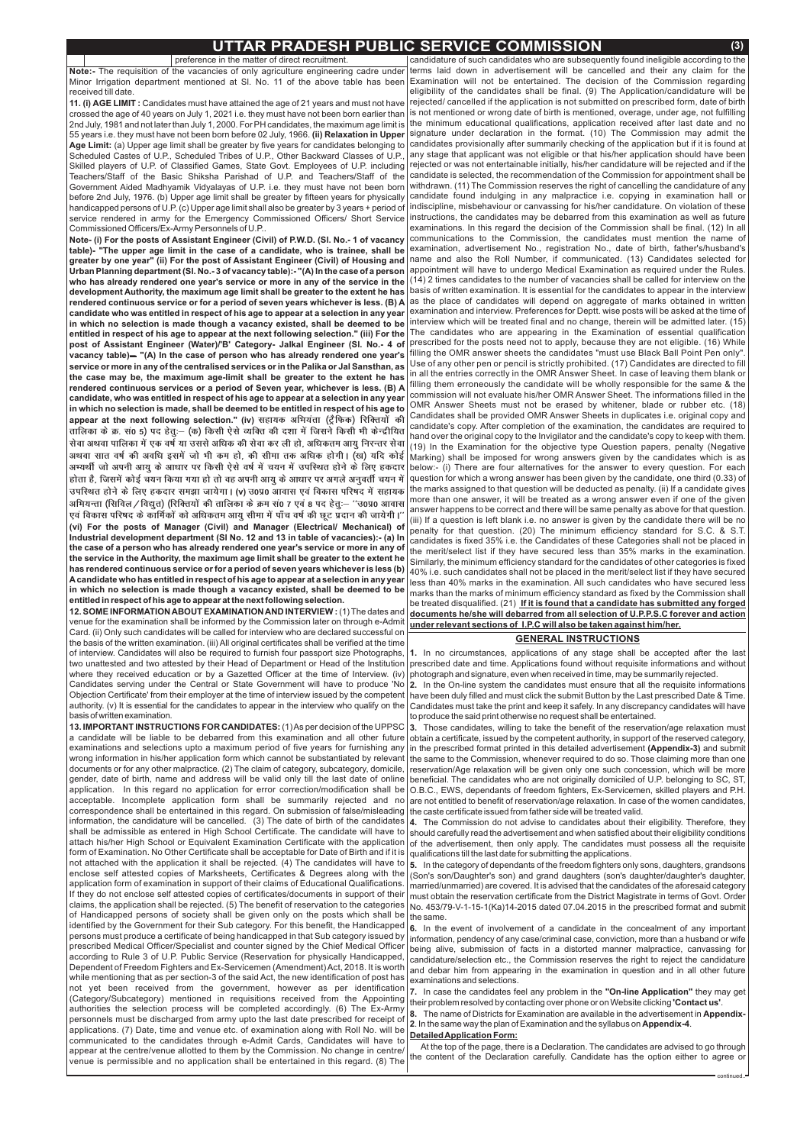## **UTTAR PRADESH PUBLIC SERVICE COMMISSION (3)**

preference in the matter of direct recruitment. **Note:-** The requisition of the vacancies of only agriculture engineering cadre under Minor Irrigation department mentioned at Sl. No. 11 of the above table has been received till date.

**11. (i) AGE LIMIT :** Candidates must have attained the age of 21 years and must not have 55 years i.e. they must have not been born before 02 July, 1966. **(ii) Relaxation in Upper Age Limit:** (a) Upper age limit shall be greater by five years for candidates belonging to crossed the age of 40 years on July 1, 2021 i.e. they must have not been born earlier than 2nd July, 1981 and not later than July 1, 2000. For PH candidates, the maximum age limit is Scheduled Castes of U.P., Scheduled Tribes of U.P., Other Backward Classes of U.P., Skilled players of U.P. of Classified Games, State Govt. Employees of U.P. including Teachers/Staff of the Basic Shiksha Parishad of U.P. and Teachers/Staff of the Government Aided Madhyamik Vidyalayas of U.P. i.e. they must have not been born before 2nd July, 1976. (b) Upper age limit shall be greater by fifteen years for physically handicapped persons of U.P. (c) Upper age limit shall also be greater by 3 years + period of service rendered in army for the Emergency Commissioned Officers/ Short Service Commissioned Officers/Ex-Army Personnels of U.P..

**12. SOME INFORMATION ABOUT EXAMINATION AND INTERVIEW**: (1) The dates and venue for the examination shall be informed by the Commission later on through e-Admit Card. (ii) Only such candidates will be called for interview who are declared successful on the basis of the written examination. (iii) All original certificates shall be verified at the time of interview. Candidates will also be required to furnish four passport size Photographs, two unattested and two attested by their Head of Department or Head of the Institution where they received education or by a Gazetted Officer at the time of Interview. (iv) Candidates serving under the Central or State Government will have to produce 'No Objection Certificate' from their employer at the time of interview issued by the competent | have been duly filled and must click the submit Button by the Last prescribed Date & Time. authority. (v) It is essential for the candidates to appear in the interview who qualify on the basisofwritten examination.

**Note- (i) For the posts of Assistant Engineer (Civil) of P.W.D. (SI. No.- 1 of vacancy table) - "The upper age limit in the case of a candidate, who is trainee, shall be** Urban Planning department (SI. No.- 3 of vacancy table):- "(A) In the case of a person post of Assistant Engineer (Water)/'B' Category- Jalkal Engineer (SI. No.- 4 of **vacancy table) "(A) In the case of person who has already rendered one year's** *&* **greater by one year" (ii) For the post of Assistant Engineer (Civil) of Housing and who has already rendered one year's service or more in any of the service in the development Authority, the maximum age limit shall be greater to the extent he has rendered continuous service or for a period of seven years whichever is less. (B) A candidate who was entitled in respect of his age to appear at a selection in any year in which no selection is made though a vacancy existed, shall be deemed to be entitled in respect of his age to appear at the next following selection." (iii) For the service or more in any of the centralised services or in the Palika or Jal Sansthan, as the case may be, the maximum age-limit shall be greater to the extent he has rendered continuous services or a period of Seven year, whichever is less. (B) A candidate, who was entitled in respect of his age to appear at a selection in any year in which no selection is made, shall be deemed to be entitled in respect of his age to** appear at the next following selection." (iv) सहायक अभियंता (ट्रैफिक) रिक्तियों की *rkfydk ds Ø- la0 5½ in gsrq%& ¼d½ fdlh ,sls O;fDr dh n'kk esa ftlus fdlh Hkh dsUnzhf;r* सेवा अथवा पालिका में एक वर्ष या उससे अधिक की सेवा कर ली हो, अधिकतम आयु निरन्तर सेवा अथवा सात वर्ष की अवधि इसमें जो भी कम हो, की सीमा तक अधिक होगी। (ख) यदि कोई अभ्यर्थी जो अपनी आयु के आधार पर किसी ऐसे वर्ष में चयन में उपस्थित होने के लिए हकदार होता है, जिसमें कोई चयन किया गया हो तो वह अपनी आयु के आधार पर अगले अनुवर्ती चयन में उपस्थित होने के लिए हकदार समझा जायेगा। (v) उ0प्र0 आवास एवं विकास परिषद में सहायक अभियन्ता (सिविल / विद्युत) (रिक्तियों की तालिका के क्रम सं0 7 एवं 8 पद हेत्:— ''उ0प्र0 आवास एवं विकास परिषद के कार्मिकों को अधिकतम आयु सीमा में पाँच वर्ष की छूट प्रदान की जायेगी।'' **(vi) For the posts of Manager (Civil) and Manager (Electrical/ Mechanical) of Industrial development department (Sl No. 12 and 13 in table of vacancies):- (a) In the case of a person who has already rendered one year's service or more in any of the service in the Authority, the maximum age limit shall be greater to the extent he has rendered continuous service or for a period of seven years whichever is less (b) Acandidate who has entitled in respect of his age to appear at a selection in any year in which no selection is made though a vacancy existed, shall be deemed to be entitled in respect of his age to appear at the next following selection.**

**13. IMPORTANT INSTRUCTIONS FOR CANDIDATES:** (1)As per decision of the UPPSC a candidate will be liable to be debarred from this examination and all other future examinations and selections upto a maximum period of five years for furnishing any wrong information in his/her application form which cannot be substantiated by relevant documents or for any other malpractice. (2) The claim of category, subcategory, domicile, gender, date of birth, name and address will be valid only till the last date of online application. In this regard no application for error correction/modification shall be acceptable. Incomplete application form shall be summarily rejected and no correspondence shall be entertained in this regard. On submission of false/misleading information, the candidature will be cancelled.  $\,$  (3) The date of birth of the candidates shall be admissible as entered in High School Certificate. The candidate will have to attach his/her High School or Equivalent Examination Certificate with the application form of Examination. No Other Certificate shall be acceptable for Date of Birth and if it is not attached with the application it shall be rejected. (4) The candidates will have to enclose self attested copies of Marksheets, Certificates & Degrees along with the application form of examination in support of their claims of Educational Qualifications. If they do not enclose self attested copies of certificates/documents in support of their claims, the application shall be rejected. (5) The benefit of reservation to the categories of Handicapped persons of society shall be given only on the posts which shall be identified by the Government for their Sub category. For this benefit, the Handicapped persons must produce a certificate of being handicapped in that Sub category issued by prescribed Medical Officer/Specialist and counter signed by the Chief Medical Officer according to Rule 3 of U.P. Public Service (Reservation for physically Handicapped, Dependent of Freedom Fighters and Ex-Servicemen (Amendment) Act, 2018. It is worth while mentioning that as per section-3 of the said Act, the new identification of post has not yet been received from the government, however as per identification (Category/Subcategory) mentioned in requisitions received from the Appointing authorities the selection process will be completed accordingly. (6) The Ex-Army personnels must be discharged from army upto the last date prescribed for receipt of applications. (7) Date, time and venue etc. of examination along with Roll No. will be communicated to the candidates through e-Admit Cards, Candidates will have to appear at the centre/venue allotted to them by the Commission. No change in centre/ venue is permissible and no application shall be entertained in this regard. (8) The

**5.** In the category of dependants of the freedom fighters only sons, daughters, grandsons (Son's son/Daughter's son) and grand daughters (son's daughter/daughter's daughter, married/unmarried) are covered. It is advised that the candidates of the aforesaid category must obtain the reservation certificate from the District Magistrate in terms of Govt. Order No. 453/79-V-1-15-1(Ka)14-2015 dated 07.04.2015 in the prescribed format and submit the same. **6.** In the event of involvement of a candidate in the concealment of any important information, pendency of any case/criminal case, conviction, more than a husband or wife being alive, submission of facts in a distorted manner malpractice, canvassing for candidature/selection etc., the Commission reserves the right to reject the candidature and debar him from appearing in the examination in question and in all other future examinations and selections.

7. In case the candidates feel any problem in the "On-line Application" they may get their problem resolved by contacting over phone or on Website clicking **'Contact us'**.

8. The name of Districts for Examination are available in the advertisement in Appendix-**2**. In the same way the plan of Examination and the syllabus on Appendix-4.

candidature of such candidates who are subsequently found ineligible according to the terms laid down in advertisement will be cancelled and their any claim for the Examination will not be entertained. The decision of the Commission regarding eligibility of the candidates shall be final. (9) The Application/candidature will be rejected/ cancelled if the application is not submitted on prescribed form, date of birth is not mentioned or wrong date of birth is mentioned, overage, under age, not fulfilling the minimum educational qualifications, application received after last date and no signature under declaration in the format. (10) The Commission may admit the candidates provisionally after summarily checking of the application but if it is found at any stage that applicant was not eligible or that his/her application should have been rejected or was not entertainable initially, his/her candidature will be rejected and if the candidate is selected, the recommendation of the Commission for appointment shall be withdrawn. (11) The Commission reserves the right of cancelling the candidature of any candidate found indulging in any malpractice i.e. copying in examination hall or indiscipline, misbehaviour or canvassing for his/her candidature. On violation of these instructions, the candidates may be debarred from this examination as well as future examinations. In this regard the decision of the Commission shall be final. (12) In all communications to the Commission, the candidates must mention the name of examination, advertisement No., registration No., date of birth, father's/husband's name and also the Roll Number, if communicated. (13) Candidates selected for appointment will have to undergo Medical Examination as required under the Rules. (14) 2 times candidates to the number of vacancies shall be called for interview on the basis of written examination. It is essential for the candidates to appear in the interview as the place of candidates will depend on aggregate of marks obtained in written examination and interview. Preferences for Deptt. wise posts will be asked at the time of interview which will be treated final and no change, therein will be admitted later. (15) The candidates who are appearing in the Examination of essential qualification prescribed for the posts need not to apply, because they are not eligible. (16) While filling the OMR answer sheets the candidates "must use Black Ball Point Pen only". Use of any other pen or pencil is strictly prohibited. (17) Candidates are directed to fill in all the entries correctly in the OMR Answer Sheet. In case of leaving them blank or filling them erroneously the candidate will be wholly responsible for the same & the commission will not evaluate his/her OMR Answer Sheet. The informations filled in the OMR Answer Sheets must not be erased by whitener, blade or rubber etc. (18) Candidates shall be provided OMR Answer Sheets in duplicates i.e. original copy and candidate's copy. After completion of the examination, the candidates are required to hand over the original copy to the Invigilator and the candidate's copy to keep with them. (19) In the Examination for the objective type Question papers, penalty (Negative Marking) shall be imposed for wrong answers given by the candidates which is as below:- (i) There are four alternatives for the answer to every question. For each question for which a wrong answer has been given by the candidate, one third (0.33) of the marks assigned to that question will be deducted as penalty. (ii) If a candidate gives more than one answer, it will be treated as a wrong answer even if one of the given answer happens to be correct and there will be same penalty as above for that question. (iii) If a question is left blank i.e. no answer is given by the candidate there will be no penalty for that question. (20) The minimum efficiency standard for S.C. & S.T. candidates is fixed 35% i.e. the Candidates of these Categories shall not be placed in the merit/select list if they have secured less than 35% marks in the examination. Similarly, the minimum efficiency standard for the candidates of other categories is fixed 40% i.e. such candidates shall not be placed in the merit/select list if they have secured less than 40% marks in the examination. All such candidates who have secured less marks than the marks of minimum efficiency standard as fixed by the Commission shall be treated disqualified. (21) **If it is found that a candidate has submitted any forged documents he/she will debarred from all selection of U.P.P.S.C forever and action under relevant sections of I.P.C will also be taken against him/her.**

In no circumstances, applications of any stage shall be accepted after the last **1.** prescribed date and time. Applications found without requisite informations and without photograph and signature, even when received in time, may be summarily rejected.

In the On-line system the candidates must ensure that all the requisite informations **2.** Candidates must take the print and keep it safely. In any discrepancy candidates will have to produce the said print otherwise no request shall be entertained.

Those candidates, willing to take the benefit of the reservation/age relaxation must **3.** obtain a certificate, issued by the competent authority, in support of the reserved category, in the prescribed format printed in this detailed advertisement (Appendix-3) and submit the same to the Commission, whenever required to do so. Those claiming more than one reservation/Age relaxation will be given only one such concession, which will be more beneficial. The candidates who are not originally domiciled of U.P. belonging to SC, ST, O.B.C., EWS, dependants of freedom fighters, Ex-Servicemen, skilled players and P.H. are not entitled to benefit of reservation/age relaxation. In case of the women candidates, the caste certificate issued from father side will be treated valid.

The Commission do not advise to candidates about their eligibility. Therefore, they **4.** should carefully read the advertisement and when satisfied about their eligibility conditions of the advertisement, then only apply. The candidates must possess all the requisite qualifications till the last date for submitting the applications.

At the top of the page, there is a Declaration. The candidates are advised to go through the content of the Declaration carefully. Candidate has the option either to agree or

### **DetailedApplication Form:**

#### **GENERAL INSTRUCTIONS**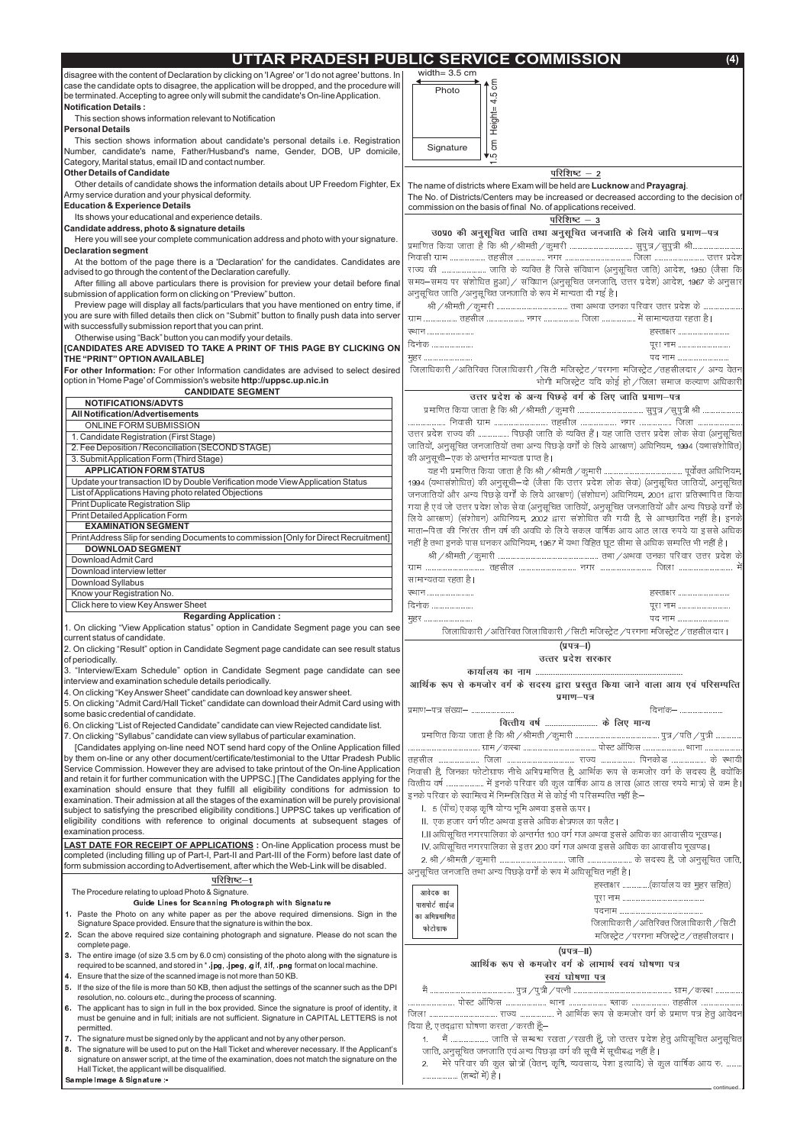

|                                                                                                                                                                                       | UTTAR PRADESH PUBLIC SERVICE COMMISSION<br>(4)                                                                                                            |
|---------------------------------------------------------------------------------------------------------------------------------------------------------------------------------------|-----------------------------------------------------------------------------------------------------------------------------------------------------------|
| disagree with the content of Declaration by clicking on 'I Agree' or 'I do not agree' buttons. In                                                                                     | width= $3.5$ cm                                                                                                                                           |
| case the candidate opts to disagree, the application will be dropped, and the procedure will                                                                                          | ξ<br>Photo                                                                                                                                                |
| be terminated. Accepting to agree only will submit the candidate's On-line Application.<br><b>Notification Details:</b>                                                               | 5<br>4                                                                                                                                                    |
| This section shows information relevant to Notification                                                                                                                               |                                                                                                                                                           |
| Personal Details                                                                                                                                                                      | Height-                                                                                                                                                   |
| This section shows information about candidate's personal details i.e. Registration                                                                                                   | ξ                                                                                                                                                         |
| Number, candidate's name, Father/Husband's name, Gender, DOB, UP domicile,                                                                                                            | Signature<br>סי¥                                                                                                                                          |
| Category, Marital status, email ID and contact number.                                                                                                                                |                                                                                                                                                           |
| <b>Other Details of Candidate</b>                                                                                                                                                     | परिशिष्ट $-2$                                                                                                                                             |
| Other details of candidate shows the information details about UP Freedom Fighter, Ex<br>Army service duration and your physical deformity.                                           | The name of districts where Exam will be held are Lucknow and Prayagraj.                                                                                  |
| <b>Education &amp; Experience Details</b>                                                                                                                                             | The No. of Districts/Centers may be increased or decreased according to the decision of<br>commission on the basis of final No. of applications received. |
| Its shows your educational and experience details.                                                                                                                                    | परिशिष्ट $-3$                                                                                                                                             |
| Candidate address, photo & signature details                                                                                                                                          | उ0प्र0 की अनुसूचित जाति तथा अनुसूचित जनजाति के लिये जाति प्रमाण-पत्र                                                                                      |
| Here you will see your complete communication address and photo with your signature.                                                                                                  |                                                                                                                                                           |
| <b>Declaration segment</b>                                                                                                                                                            |                                                                                                                                                           |
| At the bottom of the page there is a 'Declaration' for the candidates. Candidates are<br>advised to go through the content of the Declaration carefully.                              | राज्य की  जाति के व्यक्ति हैं जिसे संविधान (अनुसूचित जाति) आदेश, 1950 (जैसा कि                                                                            |
| After filling all above particulars there is provision for preview your detail before final                                                                                           | समय–समय पर संशोधित हुआ) / संविधान (अनुसूचित जनजाति, उत्तर प्रदेश) आदेश, 1967 के अनुसार                                                                    |
| submission of application form on clicking on "Preview" button.                                                                                                                       | अनुसूचित जाति /अनुसूचित जनजाति के रूप में मान्यता दी गई है।                                                                                               |
| Preview page will display all facts/particulars that you have mentioned on entry time, if                                                                                             |                                                                                                                                                           |
| you are sure with filled details then click on "Submit" button to finally push data into server                                                                                       |                                                                                                                                                           |
| with successfully submission report that you can print.                                                                                                                               | ख्यान                                                                                                                                                     |
| Otherwise using "Back" button you can modify your details.                                                                                                                            | दिनाक                                                                                                                                                     |
| [CANDIDATES ARE ADVISED TO TAKE A PRINT OF THIS PAGE BY CLICKING ON<br>THE "PRINT" OPTION AVAILABLE]                                                                                  | <u>मुहर </u><br>पद नाम                                                                                                                                    |
| For other Information: For other Information candidates are advised to select desired                                                                                                 | जिलाधिकारी /अतिरिक्त जिलाधिकारी /सिटी मजिस्ट्रेट /परगना मजिस्ट्रेट /तहसीलदार / अन्य वेतन                                                                  |
| option in 'Home Page' of Commission's website http://uppsc.up.nic.in                                                                                                                  | भोगी मजिस्ट्रेट यदि कोई हो / जिला समाज कल्याण अधिकारी                                                                                                     |
| <b>CANDIDATE SEGMENT</b>                                                                                                                                                              | उत्तर प्रदेश के अन्य पिछड़े वर्ग के लिए जाति प्रमाण-पत्र                                                                                                  |
| <b>NOTIFICATIONS/ADVTS</b>                                                                                                                                                            |                                                                                                                                                           |
| <b>All Notification/Advertisements</b>                                                                                                                                                |                                                                                                                                                           |
| ONLINE FORM SUBMISSION<br>1. Candidate Registration (First Stage)                                                                                                                     | उत्तर प्रदेश राज्य की  पिछड़ी जाति के व्यक्ति हैं। यह जाति उत्तर प्रदेश लोक सेवा (अनुसूचित                                                                |
| 2. Fee Deposition / Reconciliation (SECOND STAGE)                                                                                                                                     | जातियों, अनुसूचित जनजातियों तथा अन्य पिछड़े वर्गों के लिये आरक्षण) अधिनियम, 1994 (यथासशोधित)                                                              |
| 3. Submit Application Form (Third Stage)                                                                                                                                              | की अनुसूची–एक के अन्तर्गत मान्यता प्राप्त है।                                                                                                             |
| <b>APPLICATION FORM STATUS</b>                                                                                                                                                        |                                                                                                                                                           |
| Update your transaction ID by Double Verification mode View Application Status                                                                                                        | 1994 (यथासशोधित) की अनुसूची–दो (जैसा कि उत्तर प्रदेश लोक सेवा) (अनुसूचित जातियों, अनुसूचित                                                                |
| List of Applications Having photo related Objections                                                                                                                                  | जनजातियों और अन्य पिछड़े वर्गों के लिये आरक्षण) (संशोधन) अधिनियम, 2001 द्वारा प्रतिस्थापित किया                                                           |
| Print Duplicate Registration Slip                                                                                                                                                     | गया है एवं जो उत्तर प्रदेश लोक सेवा (अनुसूचित जातियों, अनुसूचित जनजातियों और अन्य पिछड़े वर्गों के                                                        |
| Print Detailed Application Form<br><b>EXAMINATION SEGMENT</b>                                                                                                                         | लिये आरक्षण) (सशोधन) अधिनियम, 2002 द्वारा संशोधित की गयी है, से आच्छादित नहीं है। इनके                                                                    |
| Print Address Slip for sending Documents to commission [Only for Direct Recruitment]                                                                                                  | माता—पिता की निरंतर तीन वर्ष की अवधि के लिये सकल वार्षिक आय आठ लाख रुपये या इससे अधिक                                                                     |
| <b>DOWNLOAD SEGMENT</b>                                                                                                                                                               | नहीं है तथा इनके पास धनकर अधिनियम, 1957 में यथा विहित छूट सीमा से अधिक सम्पत्ति भी नहीं है।                                                               |
| Download Admit Card                                                                                                                                                                   |                                                                                                                                                           |
| Download interview letter                                                                                                                                                             |                                                                                                                                                           |
| Download Syllabus                                                                                                                                                                     | सामान्यतया रहता है।                                                                                                                                       |
| Know your Registration No.                                                                                                                                                            | <u>स्थान का प्रधान का प्रधान का प्रधान का प्रधान का प्रधान का प्रधान का प्रधान का प्रधान का प्रधान का प्रधान का </u>                                      |
| Click here to view Key Answer Sheet<br><b>Regarding Application:</b>                                                                                                                  | दिनाक                                                                                                                                                     |
| 1. On clicking "View Application status" option in Candidate Segment page you can see                                                                                                 | पद नाम<br>मृहर                                                                                                                                            |
| current status of candidate.                                                                                                                                                          | जिलाधिकारी /अतिरिक्त जिलाधिकारी /सिटी मजिस्ट्रेट /परगना मजिस्ट्रेट /तहसीलदार।                                                                             |
| 2. On clicking "Result" option in Candidate Segment page candidate can see result status                                                                                              | (प्रपत्र–I)                                                                                                                                               |
| of periodically.                                                                                                                                                                      | उत्तर प्रदेश सरकार                                                                                                                                        |
| 3. "Interview/Exam Schedule" option in Candidate Segment page candidate can see                                                                                                       |                                                                                                                                                           |
| interview and examination schedule details periodically.<br>4. On clicking "Key Answer Sheet" candidate can download key answer sheet.                                                | आर्थिक रूप से कमजोर वर्ग के सदस्य द्वारा प्रस्तुत किया जाने वाला आय एवं परिसम्पत्ति                                                                       |
| 5. On clicking "Admit Card/Hall Ticket" candidate can download their Admit Card using with                                                                                            | प्रमाण–पत्र                                                                                                                                               |
| some basic credential of candidate.                                                                                                                                                   | प्रमाण–पत्र संख्या–                                                                                                                                       |
| 6. On clicking "List of Rejected Candidate" candidate can view Rejected candidate list.                                                                                               | वित्तीय वर्ष  के लिए मान्य                                                                                                                                |
| 7. On clicking "Syllabus" candidate can view syllabus of particular examination.                                                                                                      |                                                                                                                                                           |
| [Candidates applying on-line need NOT send hard copy of the Online Application filled                                                                                                 |                                                                                                                                                           |
| by them on-line or any other document/certificate/testimonial to the Uttar Pradesh Public<br>Service Commission. However they are advised to take printout of the On-line Application |                                                                                                                                                           |
| and retain it for further communication with the UPPSC.] [The Candidates applying for the                                                                                             | निवासी हैं, जिनका फोटोग्राफ नीचे अभिप्रमाणित है, आर्थिक रूप से कमजोर वर्ग के सदस्य हैं, क्योंकि                                                           |
| examination should ensure that they fulfill all eligibility conditions for admission to                                                                                               | वित्तीय वर्ष  में इनके परिवार की कुल वार्षिक आय 8 लाख (आठ लाख रुपये मात्र) से कम है।                                                                      |
| examination. Their admission at all the stages of the examination will be purely provisional                                                                                          | इनके परिवार के स्वामित्व में निम्नलिखित में से कोई भी परिसम्पत्ति नहीं हैं:—                                                                              |
| subject to satisfying the prescribed eligibility conditions.] UPPSC takes up verification of                                                                                          | l. 5 (पाँच) एकड़ कृषि योग्य भूमि अथवा इससे ऊपर।                                                                                                           |
| eligibility conditions with reference to original documents at subsequent stages of                                                                                                   | II. एक हजार वर्ग फीट अथवा इससे अधिक क्षेत्रफल का फ्लैट।                                                                                                   |
| examination process.                                                                                                                                                                  | I.II अधिसूचित नगरपालिका के अन्तर्गत 100 वर्ग गज अथवा इससे अधिक का आवासीय भूखण्ड।                                                                          |
| <b>LAST DATE FOR RECEIPT OF APPLICATIONS</b> : On-line Application process must be<br>completed (including filling up of Part-I_Part-II and Part-III of the Form) before last date of | IV. अधिसूचित नगरपालिका से इतर 200 वर्ग गज अथवा इससे अधिक का आवासीय भूखण्ड।                                                                                |

|    | completed (including filling up of Part-I, Part-II and Part-III of the Form) before last date of                                                                                                        | 2. श्री / श्रीमती / कुमार्र                                        |
|----|---------------------------------------------------------------------------------------------------------------------------------------------------------------------------------------------------------|--------------------------------------------------------------------|
|    | form submission according to Advertisement, after which the Web-Link will be disabled.                                                                                                                  | अनुसूचित जनजाति तथा अ                                              |
|    | परिशिष्ट—1                                                                                                                                                                                              |                                                                    |
|    | The Procedure relating to upload Photo & Signature.                                                                                                                                                     | आवेदक का                                                           |
|    | Guide Lines for Scanning Photograph with Signature                                                                                                                                                      | पासपोर्ट साईज                                                      |
|    | 1. Paste the Photo on any white paper as per the above required dimensions. Sign in the                                                                                                                 | का अभिप्रमाणित                                                     |
|    | Signature Space provided. Ensure that the signature is within the box.                                                                                                                                  | फोटोग्राफ                                                          |
|    | 2. Scan the above required size containing photograph and signature. Please do not scan the<br>complete page.                                                                                           |                                                                    |
|    | 3. The entire image (of size 3.5 cm by 6.0 cm) consisting of the photo along with the signature is<br>required to be scanned, and stored in *.jpg, .jpeg, .gif, .tif, .png format on local machine.     | आर्थिक                                                             |
|    | 4. Ensure that the size of the scanned image is not more than 50 KB.                                                                                                                                    |                                                                    |
| 5. | If the size of the file is more than 50 KB, then adjust the settings of the scanner such as the DPI<br>resolution, no. colours etc., during the process of scanning.                                    | $\label{eq:nonlin} \overrightarrow{\mathbf{H}}\text{\hspace{1cm}}$ |
|    | 6. The applicant has to sign in full in the box provided. Since the signature is proof of identity, it<br>must be genuine and in full; initials are not sufficient. Signature in CAPITAL LETTERS is not | <u>जिला </u>                                                       |
|    | permitted.                                                                                                                                                                                              | दिया है, एतदद्वारा घोषणा क                                         |
|    | 7. The signature must be signed only by the applicant and not by any other person.                                                                                                                      |                                                                    |
| 8. | The signature will be used to put on the Hall Ticket and wherever necessary. If the Applicant's                                                                                                         | जाति, अनुसूचित जनज                                                 |
|    | signature on answer script, at the time of the examination, does not match the signature on the                                                                                                         | मेरे परिवार की व<br>$\mathcal{P}$                                  |
|    | Hall Ticket, the applicant will be disqualified.                                                                                                                                                        |                                                                    |
|    | Sample Image & Signature :-                                                                                                                                                                             |                                                                    |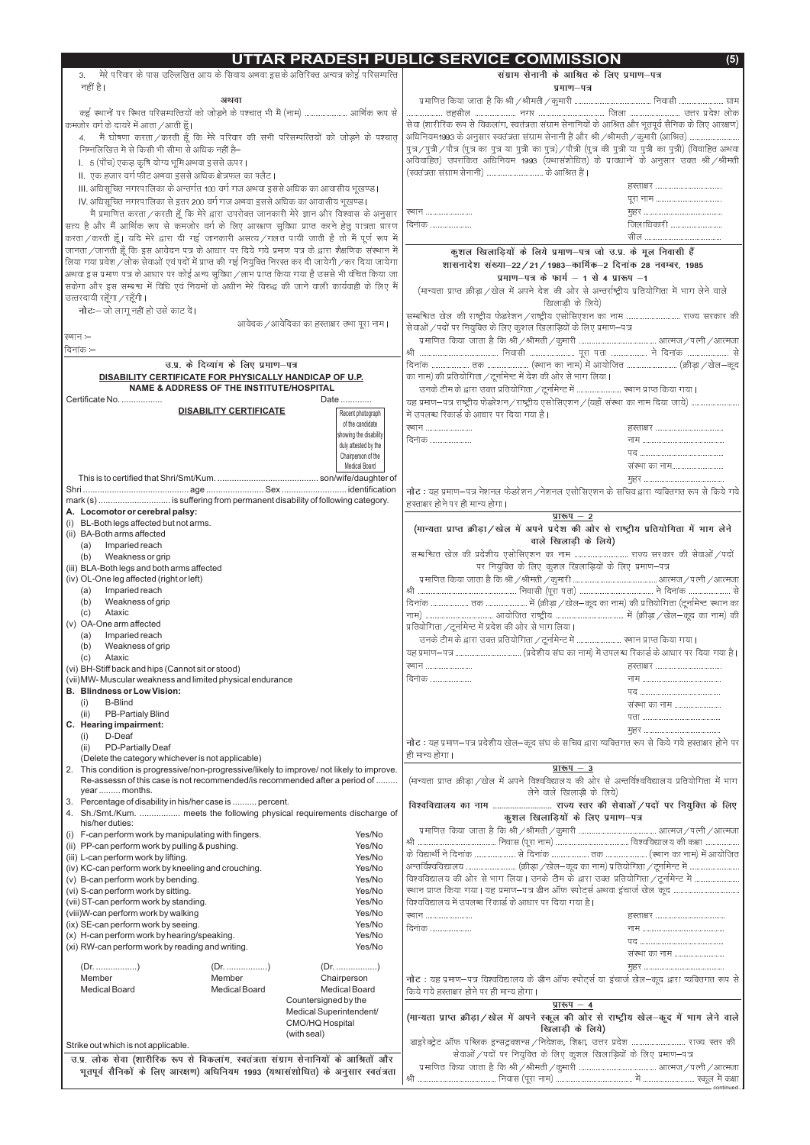# UTTAR PRADESH PUBLIC SERVICE COMMISSION

 $\overline{(5)}$ 

| मेरे परिवार के पास उल्लिखित आय के सिवाय अथवा इसके अतिरिक्त अन्यत्र कोई परिसम्पत्ति                         | संग्राम सेनानी के आश्रित के लिए प्रमाण-पत्र                                                                                        |
|------------------------------------------------------------------------------------------------------------|------------------------------------------------------------------------------------------------------------------------------------|
| नहीं है।                                                                                                   | प्रमाण-पत्र                                                                                                                        |
| अथवा                                                                                                       |                                                                                                                                    |
| कई स्थानों पर स्थित परिसम्पत्तियों को जोड़ने के पश्चात् भी मैं (नाम)  आर्थिक रूप से                        |                                                                                                                                    |
| कमजोर वर्ग के दायरे में आता /आती हूँ।                                                                      | सेवा (शारीरिक रूप से विकलांग, स्वतंत्रता संग्राम सेनानियों के आश्रित और भूतपूर्व सैनिक के लिए आरक्षण)                              |
| मैं घोषणा करता / करती हूँ कि मेरे परिवार की सभी परिसम्पत्तियों को जोड़ने के पश्चात्<br>4 <sub>1</sub>      | अधिनियम1993 के अनुसार स्वतंत्रता संग्राम सेनानी है और श्री / श्रीमती / कुमारी (आश्रित)                                             |
| निम्नलिखित में से किसी भी सीमा से अधिक नहीं है—                                                            | पुत्र / पुत्री / पौत्र (पुत्र का पुत्र या पुत्री का पुत्र) / पौत्री (पुत्र की पुत्री या पुत्री का पुत्री) (विवाहित अथवा            |
| l. 5 (पाँच) एकड़ कृषि योग्य भूमि अथवा इससे ऊपर।                                                            | अविवाहित) उपराकित अधिनियम 1993 (यथासशोधित) के प्रावधानों के अनुसार उक्त श्री / श्रीमती                                             |
| II. एक हजार वर्ग फीट अथवा इससे अधिक क्षेत्रफल का फ्लैट।                                                    |                                                                                                                                    |
|                                                                                                            |                                                                                                                                    |
| III. अधिसूचित नगरपालिका के अन्तर्गत 100 वर्ग गज अथवा इससे अधिक का आवासीय भूखण्ड।                           |                                                                                                                                    |
| IV. अधिसूचित नगरपालिका से इतर 200 वर्ग गज अथवा इससे अधिक का आवासीय भूखण्ड।                                 |                                                                                                                                    |
| मैं प्रमाणित करता / करती हूँ कि मेरे द्वारा उपरोक्त जानकारी मेरे ज्ञान और विश्वास के अनुसार                | रथान<br>उ<br>जिलाधिकारी                                                                                                            |
| सत्य है और मैं आर्थिक रूप से कमजोर वर्ग के लिए आरक्षण सुविधा प्राप्त करने हेतु पात्रता धारण                | दिनाक                                                                                                                              |
| करता / करती हूँ। यदि मेरे द्वारा दी गई जानकारी असत्य / गलत पायी जाती है तो मैं पूर्ण रूप में               |                                                                                                                                    |
| जानता / जानती हूँ कि इस आवेदन पत्र के आधार पर दिये गये प्रमाण पत्र के द्वारा शैक्षणिक संस्थान में          | कुशल खिलाड़ियों के लिये प्रमाण-पत्र जो उ.प्र. के मूल निवासी हैं                                                                    |
| लिया गया प्रवेश / लोक सेवाओं एवं पदों में प्राप्त की गई नियुक्ति निरस्त कर दी जायेगी / कर दिया जायेगा      | शासनादेश संख्या-22 / 21 / 1983-कार्मिक-2 दिनांक 28 नवम्बर, 1985                                                                    |
| अथवा इस प्रमाण पत्र के आधार पर कोई अन्य सुविधा /लाभ प्राप्त किया गया है उससे भी वंचित किया जा              | प्रमाण-पत्र के फार्म $-$ 1 से 4 प्रारूप $-1$                                                                                       |
| सकेगा और इस सम्बन्ध में विधि एवं नियमों के अधीन मेरे विरुद्ध की जाने वाली कार्यवाही के लिए मैं             | (मान्यता प्राप्त क्रीड़ा /खेल में अपने देश की ओर से अन्तर्राष्ट्रीय प्रतियोगिता में भाग लेने वाले                                  |
| उत्तरदायी रहूँगा / रहूँगी।                                                                                 | खिलाडी के लिये)                                                                                                                    |
| <b>नोट:</b> — जो लागू नहीं हो उसे काट दें।                                                                 | सम्बन्धित खेल की राष्ट्रीय फेडरेशन/राष्ट्रीय एसोसिएशन का नाम  राज्य सरकार की                                                       |
| आवेदक /आवेदिका का हस्ताक्षर तथा पूरा नाम।                                                                  | सेवाओं / पदों पर नियुक्ति के लिए कुशल खिलाड़ियों के लिए प्रमाण–पत्र                                                                |
| रथान –                                                                                                     |                                                                                                                                    |
| $\vert$ दिनांक $-$                                                                                         | श्री                                                                                                                               |
| उ.प्र. के दिव्यांग के लिए प्रमाण-पत्र                                                                      |                                                                                                                                    |
| DISABILITY CERTIFICATE FOR PHYSICALLY HANDICAP OF U.P.                                                     | का नाम) की प्रतियोगिता / टूर्नामेन्ट में देश की ओर से भाग लिया।                                                                    |
| NAME & ADDRESS OF THE INSTITUTE/HOSPITAL                                                                   |                                                                                                                                    |
| Certificate No.<br>Date                                                                                    |                                                                                                                                    |
| <b>DISABILITY CERTIFICATE</b><br>Recent photograph                                                         | यह प्रमाण–पत्र राष्ट्रीय फेडरेशन /राष्ट्रीय एसोसिएशन /(यहाँ संस्था का नाम दिया जाये)<br>में उपलब्ध रिकार्ड के आधार पर दिया गया है। |
| of the candidate                                                                                           |                                                                                                                                    |
| showing the disability                                                                                     | <u> स्थान </u>                                                                                                                     |
| duly attested by the                                                                                       | दिनाक                                                                                                                              |
| Chairperson of the                                                                                         |                                                                                                                                    |
| Medical Board                                                                                              | संस्था का नाम                                                                                                                      |
|                                                                                                            |                                                                                                                                    |
|                                                                                                            | <b>नोट</b> : यह प्रमाण–पत्र नेशनल फेडरेशन / नेशनल एसोसिएशन के सचिव द्वारा व्यक्तिगत रूप से किये गये                                |
| mark (s)  is suffering from permanent disability of following category.                                    |                                                                                                                                    |
|                                                                                                            | हस्ताक्षर होने पर ही मान्य होगा।                                                                                                   |
| A. Locomotor or cerebral palsy:                                                                            | <u>प्रारूप – २</u>                                                                                                                 |
| (i) BL-Both legs affected but not arms.                                                                    |                                                                                                                                    |
| (ii) BA-Both arms affected                                                                                 | (मान्यता प्राप्त क्रीड़ा / खेल में अपने प्रदेश की ओर से राष्ट्रीय प्रतियोगिता में भाग लेने                                         |
| Imparied reach<br>(a)                                                                                      | वाले खिलाड़ी के लिये)                                                                                                              |
| Weakness or grip<br>(b)                                                                                    |                                                                                                                                    |
| (iii) BLA-Both legs and both arms affected                                                                 | पर नियुक्ति के लिए कुशल खिलाड़ियों के लिए प्रमाण–पत्र                                                                              |
| (iv) OL-One leg affected (right or left)                                                                   |                                                                                                                                    |
| Imparied reach<br>(a)                                                                                      |                                                                                                                                    |
| Weakness of grip<br>(b)<br>Ataxic<br>(c)                                                                   |                                                                                                                                    |
| (v) OA-One arm affected                                                                                    |                                                                                                                                    |
| Imparied reach<br>(a)                                                                                      | प्रतियोगिता / टूर्नामेन्ट में प्रदेश की ओर से भाग लिया।                                                                            |
| Weakness of grip<br>(b)                                                                                    |                                                                                                                                    |
| Ataxic<br>(c)                                                                                              |                                                                                                                                    |
| (vi) BH-Stiff back and hips (Cannot sit or stood)                                                          | <b>स्थान</b>                                                                                                                       |
| (vii) MW- Muscular weakness and limited physical endurance                                                 | दिनाक                                                                                                                              |
| <b>B. Blindness or Low Vision:</b>                                                                         |                                                                                                                                    |
| <b>B-Blind</b><br>(i)                                                                                      | संस्था का नाम                                                                                                                      |
| <b>PB-Partialy Blind</b><br>(ii)                                                                           |                                                                                                                                    |
| C. Hearing impairment:                                                                                     |                                                                                                                                    |
| (i)<br>D-Deaf                                                                                              |                                                                                                                                    |
| PD-Partially Deaf<br>(ii)                                                                                  | <b>नोट</b> : यह प्रमाण—पत्र प्रदेशीय खेल—कूद संघ के सचिव द्वारा व्यक्तिगत रूप से किये गये हस्ताक्षर होने पर<br>ही मान्य होगा।      |
| (Delete the category whichever is not applicable)                                                          | प्रारूप $-3$                                                                                                                       |
| 2. This condition is progressive/non-progressive/likely to improve/ not likely to improve.                 |                                                                                                                                    |
| Re-assessn of this case is not recommended/is recommended after a period of<br>year  months.               | (मान्यता प्राप्त क्रीड़ा /खेल में अपने विश्वविद्यालय की ओर से अन्तर्विश्वविद्यालय प्रतियोगिता में भाग                              |
| 3. Percentage of disability in his/her case is  percent.                                                   | लेने वाले खिलाड़ी के लिये)                                                                                                         |
| 4. Sh./Smt./Kum.  meets the following physical requirements discharge of                                   | विश्वविद्यालय का नाम  राज्य स्तर की सेवाओं / पदों पर नियुक्ति के लिए                                                               |
| his/her duties:                                                                                            | कुशल खिलाड़ियों के लिए प्रमाण-पत्र                                                                                                 |
| (i) F-can perform work by manipulating with fingers.<br>Yes/No                                             |                                                                                                                                    |
| (ii) PP-can perform work by pulling & pushing.<br>Yes/No<br>Yes/No<br>(iii) L-can perform work by lifting. | श्री                                                                                                                               |

|                                                               | (iii) L-can perform work by lifting.                                                 |                      | Yes/No                  |                                                                                                  |  |  |
|---------------------------------------------------------------|--------------------------------------------------------------------------------------|----------------------|-------------------------|--------------------------------------------------------------------------------------------------|--|--|
| (iv) KC-can perform work by kneeling and crouching.<br>Yes/No |                                                                                      |                      |                         |                                                                                                  |  |  |
|                                                               | (v) B-can perform work by bending.<br>Yes/No                                         |                      |                         | विश्वविद्यालय की ओर से भाग लिया। उनके टीम के द्वारा उक्त प्रतियोगिता/टूर्नामेन्ट में             |  |  |
|                                                               | (vi) S-can perform work by sitting.                                                  |                      | Yes/No                  | रथान प्राप्त किया गया। यह प्रमाण–पत्र डीन ऑफ स्पोर्ट्स अथवा इंचार्ज खेल कूद                      |  |  |
|                                                               | (vii) ST-can perform work by standing.                                               |                      | Yes/No                  | विश्वविद्यालय में उपलब्ध रिकार्ड के आधार पर दिया गया है।                                         |  |  |
|                                                               | (viii)W-can perform work by walking                                                  |                      | Yes/No                  | <b>स्थान</b>                                                                                     |  |  |
|                                                               | (ix) SE-can perform work by seeing.                                                  |                      | Yes/No                  | दिनाक                                                                                            |  |  |
|                                                               | (x) H-can perform work by hearing/speaking.                                          |                      | Yes/No                  |                                                                                                  |  |  |
|                                                               | (xi) RW-can perform work by reading and writing.                                     |                      | Yes/No                  |                                                                                                  |  |  |
|                                                               |                                                                                      |                      |                         | संस्था का नाम                                                                                    |  |  |
|                                                               |                                                                                      |                      |                         |                                                                                                  |  |  |
|                                                               | Member                                                                               | Member               | Chairperson             | नोट: यह प्रमाण-पत्र विश्वविद्यालय के डीन ऑफ स्पोर्ट्स या इंचार्ज खेल-कूद द्वारा व्यक्तिगत रूप से |  |  |
|                                                               | <b>Medical Board</b>                                                                 | <b>Medical Board</b> | <b>Medical Board</b>    | किये गये हस्ताक्षर होने पर ही मान्य होगा।                                                        |  |  |
|                                                               |                                                                                      |                      | Countersigned by the    | प्रारूप $-4$                                                                                     |  |  |
|                                                               |                                                                                      |                      | Medical Superintendent/ | (मान्यता प्राप्त क्रीड़ा / खेल में अपने स्कूल की ओर से राष्ट्रीय खेल-कूद में भाग लेने वाले       |  |  |
|                                                               | CMO/HQ Hospital                                                                      |                      |                         | खिलाडी के लिये)                                                                                  |  |  |
|                                                               |                                                                                      |                      | (with seal)             |                                                                                                  |  |  |
|                                                               | Strike out which is not applicable.                                                  |                      |                         |                                                                                                  |  |  |
|                                                               | उ.प्र. लोक सेवा (शारीरिक रूप से विकलांग, स्वतंत्रता संग्राम सेनानियों के आश्रितों और |                      |                         | सेवाओं / पदों पर नियुक्ति के लिए कुशल खिलाड़ियों के लिए प्रमाण-पत्र                              |  |  |
|                                                               | भूतपूर्व सैनिकों के लिए आरक्षण) अधिनियम 1993 (यथासंशोधित) के अनुसार स्वतंत्रता       |                      |                         |                                                                                                  |  |  |
|                                                               |                                                                                      |                      |                         | श्री                                                                                             |  |  |
|                                                               |                                                                                      |                      |                         |                                                                                                  |  |  |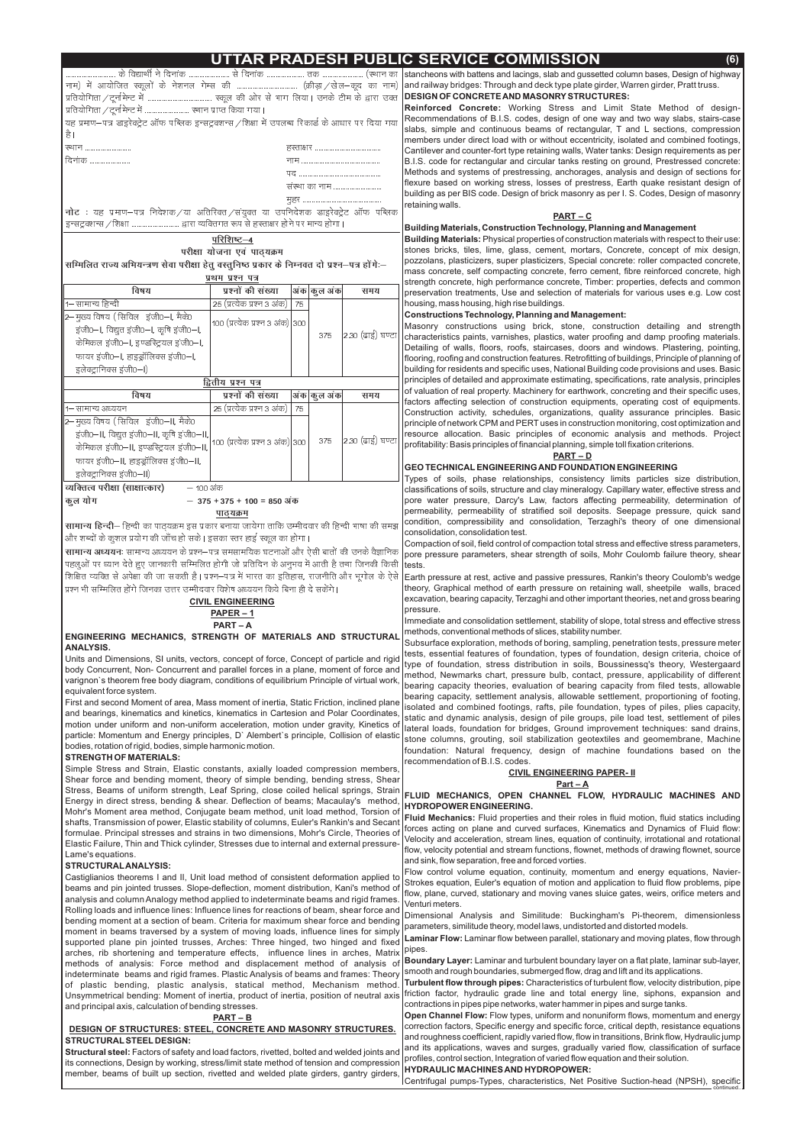# **AR PRADESH PUBLIC SERVICE COMMISSION**

| यह प्रमाण–पत्र डाइरेक्ट्रेट ऑफ पब्लिक इन्सट्रक्शन्स /शिक्षा में उपलब्ध रिकार्ड के आधार पर दिया गया      |                                  |    |             |                  |
|---------------------------------------------------------------------------------------------------------|----------------------------------|----|-------------|------------------|
| है ।                                                                                                    |                                  |    |             |                  |
| ख्यान                                                                                                   |                                  |    |             |                  |
| दिनाक                                                                                                   |                                  |    |             |                  |
|                                                                                                         |                                  |    |             |                  |
|                                                                                                         |                                  |    |             | संस्था का नाम    |
|                                                                                                         |                                  |    | मुहर        |                  |
| <b>नोट</b> ः यह प्रमाण–पत्र निदेशक ⁄या अतिरिक्त ⁄सयुक्त या उपनिदेशक डाइरेक्ट्रेट ऑफ पब्लिक              |                                  |    |             |                  |
|                                                                                                         |                                  |    |             |                  |
|                                                                                                         | परिशिष्ट-4                       |    |             |                  |
|                                                                                                         | परीक्षा योजना एवं पाठ्यक्रम      |    |             |                  |
| सम्मिलित राज्य अभियन्त्रण सेवा परीक्षा हेतु वस्तुनिष्ठ प्रकार के निम्नवत दो प्रश्न–पत्र होंगे:–         |                                  |    |             |                  |
|                                                                                                         | प्रथम प्रश्न पत्र                |    |             |                  |
| विषय                                                                                                    | प्रश्नों की संख्या               |    | अंक कुल अंक | समय              |
| 1– सामान्य हिन्दी                                                                                       | 25 (प्रत्येक प्रश्न 3 अंक)       | 75 |             |                  |
| 2- मुख्य विषय ( सिविल इजी0-I, मैके0                                                                     |                                  |    |             |                  |
| इजी0–1, विद्युत इजी0–1, कृषि इजी0–1,                                                                    | 100 (प्रत्येक प्रश्न 3 अंक)  300 |    |             |                  |
| केमिकल इंजी0–1, इण्डस्ट्रियल इंजी0–1,                                                                   |                                  |    | 375         | 2.30 (ढाई) घण्टा |
| फायर इजी0–1, हाइड्रॉलिक्स इजी0–1,                                                                       |                                  |    |             |                  |
| इलेक्ट्रानिक्स इंजी0-I)                                                                                 |                                  |    |             |                  |
|                                                                                                         | द्वि <u>तीय प्रश्न पत्र</u>      |    |             |                  |
| विषय                                                                                                    | प्रश्नों की संख्या               |    | अंक कुल अंक | समय              |
| 1– सामान्य अध्ययन                                                                                       | 25 (प्रत्येक प्रश्न 3 अंक)       | 75 |             |                  |
| 2- मुख्य विषय ( सिविल इंजी0-II, मैके0                                                                   |                                  |    |             |                  |
| इजी0-II, विद्युत इजी0-II, कृषि इजी0-II,                                                                 |                                  |    |             |                  |
| केमिकल इंजी0-II, इण्डस्ट्रियल इंजी0-II,                                                                 | 100 (प्रत्येक प्रश्न 3 अंक) 300  |    | 375         | 2.30 (ढाई) घण्टा |
| फायर इजी0-II, हाइड्रॉलिक्स इजी0-II,                                                                     |                                  |    |             |                  |
| इलेक्ट्रानिक्स इंजी0–II)                                                                                |                                  |    |             |                  |
| व्यक्तित्व परीक्षा (साक्षात्कार) $-100$ अंक                                                             |                                  |    |             |                  |
| कुल योग                                                                                                 | 375 + 375 + 100 = 850 अंक        |    |             |                  |
|                                                                                                         | पाठ्यक्रम                        |    |             |                  |
| <b>सामान्य हिन्दी</b> — हिन्दी का पाठ्यक्रम इस प्रकार बनाया जायेगा ताकि उम्मीदवार की हिन्दी भाषा की समझ |                                  |    |             |                  |
| और शब्दों के कुशल प्रयोग की जाँच हो सके। इसका स्तर हाई स्कूल का होगा।                                   |                                  |    |             |                  |
| सामान्य अध्ययनः सामान्य अध्ययन के प्रश्न–पत्र समसामयिक घटनाओं और ऐसी बातों की उनके वैज्ञानिक            |                                  |    |             |                  |
| पहलुओं पर ध्यान देते हुए जानकारी सम्मिलित होगी जो प्रतिदिन के अनुभव में आती है तथा जिनकी किसी           |                                  |    |             |                  |
| शिक्षित व्यक्ति से अपेक्षा की जा सकती है। प्रश्न–पत्र में भारत का इतिहास, राजनीति और भूगोल के ऐसे       |                                  |    |             |                  |

प्रश्न भी सम्मिलित होंगे जिनका उत्तर उम्मीदवार विशेष अध्ययन किये बिना ही दे सकेंगे।

#### **CIVIL ENGINEERING**

## $PAPER - 1$

 $PART - A$ ENGINEERING MECHANICS, STRENGTH OF MATERIALS AND STRUCTURAL **ANALYSIS.** 

Units and Dimensions, SI units, vectors, concept of force, Concept of particle and rigid body Concurrent, Non- Concurrent and parallel forces in a plane, moment of force and varignon's theorem free body diagram, conditions of equilibrium Principle of virtual work, equivalent force system.

First and second Moment of area, Mass moment of inertia, Static Friction, inclined plane and bearings, kinematics and kinetics, kinematics in Cartesion and Polar Coordinates, motion under uniform and non-uniform acceleration, motion under gravity, Kinetics of particle: Momentum and Energy principles, D' Alembert's principle, Collision of elastic bodies, rotation of rigid, bodies, simple harmonic motion.

#### **STRENGTH OF MATERIALS:**

Simple Stress and Strain, Elastic constants, axially loaded compression members, Shear force and bending moment, theory of simple bending, bending stress, Shear Stress, Beams of uniform strength, Leaf Spring, close coiled helical springs, Strain Energy in direct stress, bending & shear. Deflection of beams; Macaulay's method, Mohr's Moment area method, Conjugate beam method, unit load method, Torsion of shafts. Transmission of power, Elastic stability of columns, Euler's Rankin's and Secant formulae. Principal stresses and strains in two dimensions, Mohr's Circle, Theories of Elastic Failure, Thin and Thick cylinder, Stresses due to internal and external pressure-Lame's equations.

#### **STRUCTURAL ANALYSIS:**

stancheons with battens and lacings, slab and gussetted column bases, Design of highway and railway bridges: Through and deck type plate girder, Warren girder, Pratt truss. DESIGN OF CONCRETE AND MASONRY STRUCTURES:

#### Reinforced Concrete: Working Stress and Limit State Method of design-Recommendations of B.I.S. codes, design of one way and two way slabs, stairs-case slabs, simple and continuous beams of rectangular, T and L sections, compression members under direct load with or without eccentricity, isolated and combined footings, Cantilever and counter-fort type retaining walls, Water tanks: Design requirements as per B.I.S. code for rectangular and circular tanks resting on ground, Prestressed concrete: Methods and systems of prestressing, anchorages, analysis and design of sections for flexure based on working stress, losses of prestress, Earth quake resistant design of building as per BIS code. Design of brick masonry as per I. S. Codes, Design of masonry retaining walls.

#### $PART - C$

#### Building Materials, Construction Technology, Planning and Management

Building Materials: Physical properties of construction materials with respect to their use: stones bricks, tiles, lime, glass, cement, mortars, Concrete, concept of mix design, pozzolans, plasticizers, super plasticizers, Special concrete: roller compacted concrete, mass concrete, self compacting concrete, ferro cement, fibre reinforced concrete, high strength concrete, high performance concrete, Timber: properties, defects and common preservation treatments, Use and selection of materials for various uses e.g. Low cost housing, mass housing, high rise buildings.

#### **Constructions Technology, Planning and Management:**

Masonry constructions using brick, stone, construction detailing and strength characteristics paints, varnishes, plastics, water proofing and damp proofing materials. Detailing of walls, floors, roofs, staircases, doors and windows. Plastering, pointing, flooring, roofing and construction features. Retrofitting of buildings, Principle of planning of building for residents and specific uses, National Building code provisions and uses. Basic principles of detailed and approximate estimating, specifications, rate analysis, principles of valuation of real property. Machinery for earthwork, concreting and their specific uses, factors affecting selection of construction equipments, operating cost of equipments. Construction activity, schedules, organizations, quality assurance principles. Basic principle of network CPM and PERT uses in construction monitoring, cost optimization and resource allocation. Basic principles of economic analysis and methods. Project profitability: Basis principles of financial planning, simple toll fixation criterions.

## **PART-D**

### **GEO TECHNICAL ENGINEERING AND FOUNDATION ENGINEERING**

Types of soils, phase relationships, consistency limits particles size distribution, classifications of soils, structure and clay mineralogy. Capillary water, effective stress and pore water pressure, Darcy's Law, factors affecting permeability, determination of permeability, permeability of stratified soil deposits. Seepage pressure, quick sand condition, compressibility and consolidation, Terzaghi's theory of one dimensional consolidation, consolidation test.

Compaction of soil, field control of compaction total stress and effective stress parameters, pore pressure parameters, shear strength of soils, Mohr Coulomb failure theory, shear tests.

Earth pressure at rest, active and passive pressures, Rankin's theory Coulomb's wedge theory, Graphical method of earth pressure on retaining wall, sheetpile walls, braced excavation, bearing capacity, Terzaghi and other important theories, net and gross bearing pressure.

Immediate and consolidation settlement, stability of slope, total stress and effective stress methods, conventional methods of slices, stability number.

Subsurface exploration, methods of boring, sampling, penetration tests, pressure meter tests, essential features of foundation, types of foundation, design criteria, choice of type of foundation, stress distribution in soils, Boussinessq's theory, Westergaard method, Newmarks chart, pressure bulb, contact, pressure, applicability of different bearing capacity theories, evaluation of bearing capacity from filed tests, allowable bearing capacity, settlement analysis, allowable settlement, proportioning of footing, isolated and combined footings, rafts, pile foundation, types of piles, plies capacity, static and dynamic analysis, design of pile groups, pile load test, settlement of piles lateral loads, foundation for bridges, Ground improvement techniques: sand drains, stone columns, grouting, soil stabilization geotextiles and geomembrane, Machine foundation: Natural frequency, design of machine foundations based on the recommendation of B.I.S. codes.

## **CIVIL ENGINEERING PAPER- II**

# $Part - A$

## FLUID MECHANICS, OPEN CHANNEL FLOW, HYDRAULIC MACHINES AND **HYDROPOWER ENGINEERING.**

Fluid Mechanics: Fluid properties and their roles in fluid motion, fluid statics including forces acting on plane and curved surfaces, Kinematics and Dynamics of Fluid flow: Velocity and acceleration, stream lines, equation of continuity, irrotational and rotational flow, velocity potential and stream functions, flownet, methods of drawing flownet, source and sink, flow separation, free and forced vorties. Flow control volume equation, continuity, momentum and energy equations, Navier-Strokes equation. Euler's equation of motion and application to fluid flow problems, pipe flow, plane, curved, stationary and moving vanes sluice gates, weirs, orifice meters and Venturi meters.

Castiglianios theorems I and II, Unit load method of consistent deformation applied to beams and pin jointed trusses. Slope-deflection, moment distribution, Kani's method of analysis and column Analogy method applied to indeterminate beams and rigid frames. Rolling loads and influence lines: Influence lines for reactions of beam, shear force and bending moment at a section of beam. Criteria for maximum shear force and bending moment in beams traversed by a system of moving loads, influence lines for simply supported plane pin jointed trusses, Arches: Three hinged, two hinged and fixed arches, rib shortening and temperature effects, influence lines in arches, Matrix methods of analysis: Force method and displacement method of analysis of indeterminate beams and rigid frames. Plastic Analysis of beams and frames: Theory of plastic bending, plastic analysis, statical method, Mechanism method. Unsymmetrical bending: Moment of inertia, product of inertia, position of neutral axis and principal axis, calculation of bending stresses.

#### $PART - B$

#### DESIGN OF STRUCTURES: STEEL, CONCRETE AND MASONRY STRUCTURES. **STRUCTURAL STEEL DESIGN:**

Structural steel: Factors of safety and load factors, rivetted, bolted and welded joints and its connections, Design by working, stress/limit state method of tension and compression member, beams of built up section, rivetted and welded plate girders, gantry girders,

Dimensional Analysis and Similitude: Buckingham's Pi-theorem, dimensionless parameters, similitude theory, model laws, undistorted and distorted models.

Laminar Flow: Laminar flow between parallel, stationary and moving plates, flow through pipes

Boundary Layer: Laminar and turbulent boundary layer on a flat plate, laminar sub-layer, smooth and rough boundaries, submerged flow, drag and lift and its applications.

Turbulent flow through pipes: Characteristics of turbulent flow, velocity distribution, pipe friction factor, hydraulic grade line and total energy line, siphons, expansion and contractions in pipes pipe networks, water hammer in pipes and surge tanks.

Open Channel Flow: Flow types, uniform and nonuniform flows, momentum and energy correction factors, Specific energy and specific force, critical depth, resistance equations and roughness coefficient, rapidly varied flow, flow in transitions, Brink flow, Hydraulic jump and its applications, waves and surges, gradually varied flow, classification of surface profiles, control section, Integration of varied flow equation and their solution.

### **HYDRAULIC MACHINES AND HYDROPOWER:**

Centrifugal pumps-Types, characteristics, Net Positive Suction-head (NPSH), specific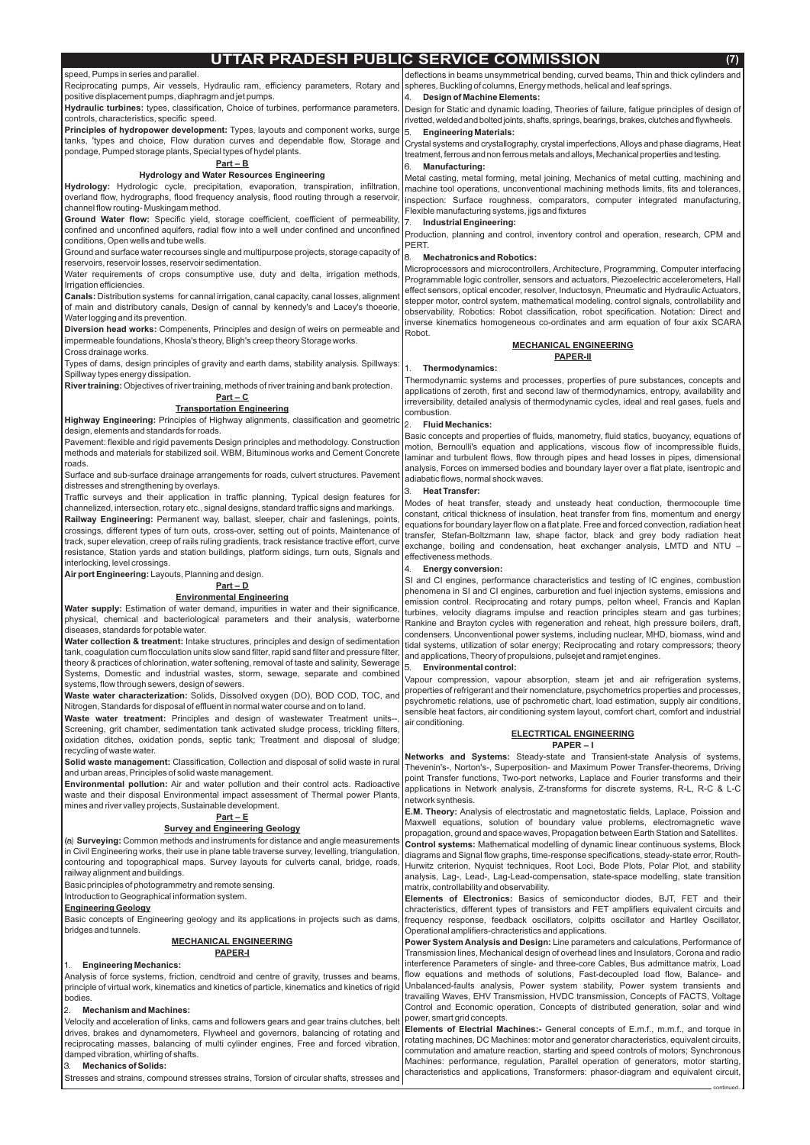# **UTTAR PRADESH PUBLIC SERVICE COMMISSION (7)**

#### speed, Pumps in series and parallel.

Reciprocating pumps, Air vessels, Hydraulic ram, efficiency parameters, Rotary and positive displacement pumps, diaphragm and jet pumps.

**Hydraulic turbines:** types, classification, Choice of turbines, performance parameters, controls, characteristics, specific speed.

**Principles of hydropower development:** Types, layouts and component works, surge tanks, 'types and choice, Flow duration curves and dependable flow, Storage and pondage, Pumped storage plants, Special types of hydel plants.

**Hydrology:** Hydrologic cycle, precipitation, evaporation, transpiration, infiltration, overland flow, hydrographs, flood frequency analysis, flood routing through a reservoir, channel flow routing- Muskingam method.

Ground Water flow: Specific yield, storage coefficient, coefficient of permeability, confined and unconfined aquifers, radial flow into a well under confined and unconfined conditions, Open wells and tube wells.

**Canals:** Distribution systems for cannal irrigation, canal capacity, canal losses, alignment of main and distributory canals, Design of cannal by kennedy's and Lacey's thoeorie, Water logging and its prevention.

**Diversion head works:** Compenents, Principles and design of weirs on permeable and impermeable foundations, Khosla's theory, Bligh's creep theory Storage works.

Highway Engineering: Principles of Highway alignments, classification and geometric design, elements and standards for roads.

Ground and surface water recourses single and multipurpose projects, storage capacity of reservoirs, reservoir losses, reservoir sedimentation.

Water requirements of crops consumptive use, duty and delta, irrigation methods, Irrigation efficiencies.

**Water supply:** Estimation of water demand, impurities in water and their significance, physical, chemical and bacteriological parameters and their analysis, waterborne diseases, standards for potable water.

Cross drainage works.

Types of dams, design principles of gravity and earth dams, stability analysis. Spillways: Spillway types energy dissipation.

**Water collection & treatment:** Intake structures, principles and design of sedimentation tank, coagulation cum flocculation units slow sand filter, rapid sand filter and pressure filter, theory & practices of chlorination, water softening, removal of taste and salinity, Sewerage Systems, Domestic and industrial wastes, storm, sewage, separate and combined systems, flow through sewers, design of sewers.

**Waste water characterization:** Solids, Dissolved oxygen (DO), BOD COD, TOC, and Nitrogen, Standards for disposal of effluent in normal water course and on to land.

**Waste water treatment:** Principles and design of wastewater Treatment units--, Screening, grit chamber, sedimentation tank activated sludge process, trickling filters, oxidation ditches, oxidation ponds, septic tank; Treatment and disposal of sludge; recycling of waste water.

**Solid waste management:** Classification, Collection and disposal of solid waste in rural and urban areas, Principles of solid waste management.

Pavement: flexible and rigid pavements Design principles and methodology. Construction methods and materials for stabilized soil. WBM, Bituminous works and Cement Concrete roads.

**Environmental pollution:** Air and water pollution and their control acts. Radioactive waste and their disposal Environmental impact assessment of Thermal power Plants, mines and river valley projects, Sustainable development.

Surface and sub-surface drainage arrangements for roads, culvert structures. Pavement distresses and strengthening by overlays.

(a) **Surveying:** Common methods and instruments for distance and angle measurements in Civil Engineering works, their use in plane table traverse survey, levelling, triangulation, contouring and topographical maps. Survey layouts for culverts canal, bridge, roads,

Traffic surveys and their application in traffic planning, Typical design features for channelized, intersection, rotary etc., signal designs, standard traffic signs and markings. Railway Engineering: Permanent way, ballast, sleeper, chair and faslenings, points, crossings, different types of turn outs, cross-over, setting out of points, Maintenance of track, super elevation, creep of rails ruling gradients, track resistance tractive effort, curve resistance, Station yards and station buildings, platform sidings, turn outs, Signals and interlocking, level crossings.

**Air port Engineering:** Layouts, Planning and design.

**River training:** Objectives of river training, methods of river training and bank protection. **Part – C**

Design for Static and dynamic loading, Theories of failure, fatigue principles of design of rivetted, welded and bolted joints, shafts, springs, bearings, brakes, clutches and flywheels.

Crystal systems and crystallography, crystal imperfections,Alloys and phase diagrams, Heat treatment, ferrous and non ferrous metals and alloys, Mechanical properties and testing.

Networks and Systems: Steady-state and Transient-state Analysis of systems, Thevenin's-, Norton's-, Superposition- and Maximum Power Transfer-theorems, Driving point Transfer functions, Two-port networks, Laplace and Fourier transforms and their applications in Network analysis, Z-transforms for discrete systems, R-L, R-C & L-C network synthesis.

**E.M. Theory:** Analysis of electrostatic and magnetostatic fields, Laplace, Poission and Maxwell equations, solution of boundary value problems, electromagnetic wave propagation, ground and space waves, Propagation between Earth Station and Satellites. **Control systems:** Mathematical modelling of dynamic linear continuous systems, Block diagrams and Signal flow graphs, time-response specifications, steady-state error, Routh-

#### **Hydrology and Water Resources Engineering**

### **Part – B**

## **Transportation Engineering**

#### **Part – D**

#### **Environmental Engineering**

# **Part – E**

## **Survey and Engineering Geology**

deflections in beams unsymmetrical bending, curved beams, Thin and thick cylinders and spheres, Buckling of columns, Energy methods, helical and leaf springs.

| contouring and topographical maps. Survey layouts for culverts canal, pridge, roads<br>railway alignment and buildings.<br>Basic principles of photogrammetry and remote sensing.<br>Introduction to Geographical information system.                                                                                                                                                                                                                                                                                                                                                                                                                                                                                                                                                 | Hurwitz criterion, Nyquist techniques, Root Loci, Bode Plots, Polar Plot, and stability<br>analysis, Lag-, Lead-, Lag-Lead-compensation, state-space modelling, state transition<br>matrix, controllability and observability.<br>Elements of Electronics: Basics of semiconductor diodes, BJT, FET and their                                                                                                                                                                                                                                                                                                                                                                                                                                                                                                                                                                                                                                                                                                                                                                                                                             |
|---------------------------------------------------------------------------------------------------------------------------------------------------------------------------------------------------------------------------------------------------------------------------------------------------------------------------------------------------------------------------------------------------------------------------------------------------------------------------------------------------------------------------------------------------------------------------------------------------------------------------------------------------------------------------------------------------------------------------------------------------------------------------------------|-------------------------------------------------------------------------------------------------------------------------------------------------------------------------------------------------------------------------------------------------------------------------------------------------------------------------------------------------------------------------------------------------------------------------------------------------------------------------------------------------------------------------------------------------------------------------------------------------------------------------------------------------------------------------------------------------------------------------------------------------------------------------------------------------------------------------------------------------------------------------------------------------------------------------------------------------------------------------------------------------------------------------------------------------------------------------------------------------------------------------------------------|
| <b>Engineering Geology</b><br>Basic concepts of Engineering geology and its applications in projects such as dams,<br>bridges and tunnels.                                                                                                                                                                                                                                                                                                                                                                                                                                                                                                                                                                                                                                            | chracteristics, different types of transistors and FET amplifiers equivalent circuits and<br>frequency response, feedback oscillators, colpitts oscillator and Hartley Oscillator,<br>Operational amplifiers-chracteristics and applications.                                                                                                                                                                                                                                                                                                                                                                                                                                                                                                                                                                                                                                                                                                                                                                                                                                                                                             |
| <b>MECHANICAL ENGINEERING</b><br><b>PAPER-I</b><br><b>Engineering Mechanics:</b><br>Analysis of force systems, friction, cendtroid and centre of gravity, trusses and beams,<br>principle of virtual work, kinematics and kinetics of particle, kinematics and kinetics of rigid<br>bodies.<br><b>Mechanism and Machines:</b><br>Velocity and acceleration of links, cams and followers gears and gear trains clutches, belt<br>drives, brakes and dynamometers, Flywheel and governors, balancing of rotating and<br>reciprocating masses, balancing of multi cylinder engines, Free and forced vibration,<br>damped vibration, whirling of shafts.<br><b>Mechanics of Solids:</b><br>3<br>Stresses and strains, compound stresses strains, Torsion of circular shafts, stresses and | Power System Analysis and Design: Line parameters and calculations, Performance of<br>Transmission lines, Mechanical design of overhead lines and Insulators, Corona and radio<br>interference Parameters of single- and three-core Cables, Bus admittance matrix, Load<br>flow equations and methods of solutions, Fast-decoupled load flow, Balance- and<br>Unbalanced-faults analysis, Power system stability, Power system transients and<br>travailing Waves, EHV Transmission, HVDC transmission, Concepts of FACTS, Voltage<br>Control and Economic operation, Concepts of distributed generation, solar and wind<br>power, smart grid concepts.<br><b>Elements of Electrial Machines:-</b> General concepts of E.m.f., m.m.f., and torque in<br>rotating machines, DC Machines: motor and generator characteristics, equivalent circuits,<br>commutation and amature reaction, starting and speed controls of motors; Synchronous<br>Machines: performance, regulation, Parallel operation of generators, motor starting,<br>characteristics and applications, Transformers: phasor-diagram and equivalent circuit,<br>continued. |
|                                                                                                                                                                                                                                                                                                                                                                                                                                                                                                                                                                                                                                                                                                                                                                                       |                                                                                                                                                                                                                                                                                                                                                                                                                                                                                                                                                                                                                                                                                                                                                                                                                                                                                                                                                                                                                                                                                                                                           |

Metal casting, metal forming, metal joining, Mechanics of metal cutting, machining and machine tool operations, unconventional machining methods limits, fits and tolerances, inspection: Surface roughness, comparators, computer integrated manufacturing, Flexible manufacturing systems, jigs and fixtures

Production, planning and control, inventory control and operation, research, CPM and PERT.

Microprocessors and microcontrollers, Architecture, Programming, Computer interfacing Programmable logic controller, sensors and actuators, Piezoelectric accelerometers, Hall effect sensors, optical encoder, resolver, Inductosyn, Pneumatic and Hydraulic Actuators, stepper motor, control system, mathematical modeling, control signals, controllability and observability, Robotics: Robot classification, robot specification. Notation: Direct and inverse kinematics homogeneous co-ordinates and arm equation of four axix SCARA Robot.

Thermodynamic systems and processes, properties of pure substances, concepts and applications of zeroth, first and second law of thermodynamics, entropy, availability and irreversibility, detailed analysis of thermodynamic cycles, ideal and real gases, fuels and combustion.

Basic concepts and properties of fluids, manometry, fluid statics, buoyancy, equations of motion, Bernoulli's equation and applications, viscous flow of incompressible fluids, laminar and turbulent flows, flow through pipes and head losses in pipes, dimensional analysis, Forces on immersed bodies and boundary layer over a flat plate, isentropic and adiabatic flows, normal shock waves.

Modes of heat transfer, steady and unsteady heat conduction, thermocouple time constant, critical thickness of insulation, heat transfer from fins, momentum and energy equations for boundary layer flow on a flat plate. Free and forced convection, radiation heat transfer, Stefan-Boltzmann law, shape factor, black and grey body radiation heat exchange, boiling and condensation, heat exchanger analysis, LMTD and NTU – effectiveness methods.

SI and CI engines, performance characteristics and testing of IC engines, combustion phenomena in SI and CI engines, carburetion and fuel injection systems, emissions and emission control. Reciprocating and rotary pumps, pelton wheel, Francis and Kaplan turbines, velocity diagrams impulse and reaction principles steam and gas turbines; Rankine and Brayton cycles with regeneration and reheat, high pressure boilers, draft, condensers. Unconventional power systems, including nuclear, MHD, biomass, wind and tidal systems, utilization of solar energy; Reciprocating and rotary compressors; theory and applications, Theory of propulsions, pulsejet and ramjet engines.

Vapour compression, vapour absorption, steam jet and air refrigeration systems, properties of refrigerant and their nomenclature, psychometrics properties and processes, psychrometic relations, use of pschrometic chart, load estimation, supply air conditions, sensible heat factors, air conditioning system layout, comfort chart, comfort and industrial air conditioning.

#### 4. **Design of Machine Elements:**

#### 5. **Engineering Materials:**

#### 6. **Manufacturing:**

## 7. **Industrial Engineering:**

## 8. **Mechatronics and Robotics:**

## 1. **Thermodynamics:**

#### 2. **Fluid Mechanics:**

## 3. **Heat Transfer:**

## 4. **Energy conversion:**

#### 5. **Environmental control:**

#### **PAPER – I ELECTRTICAL ENGINEERING**

#### **MECHANICAL ENGINEERING PAPER-II**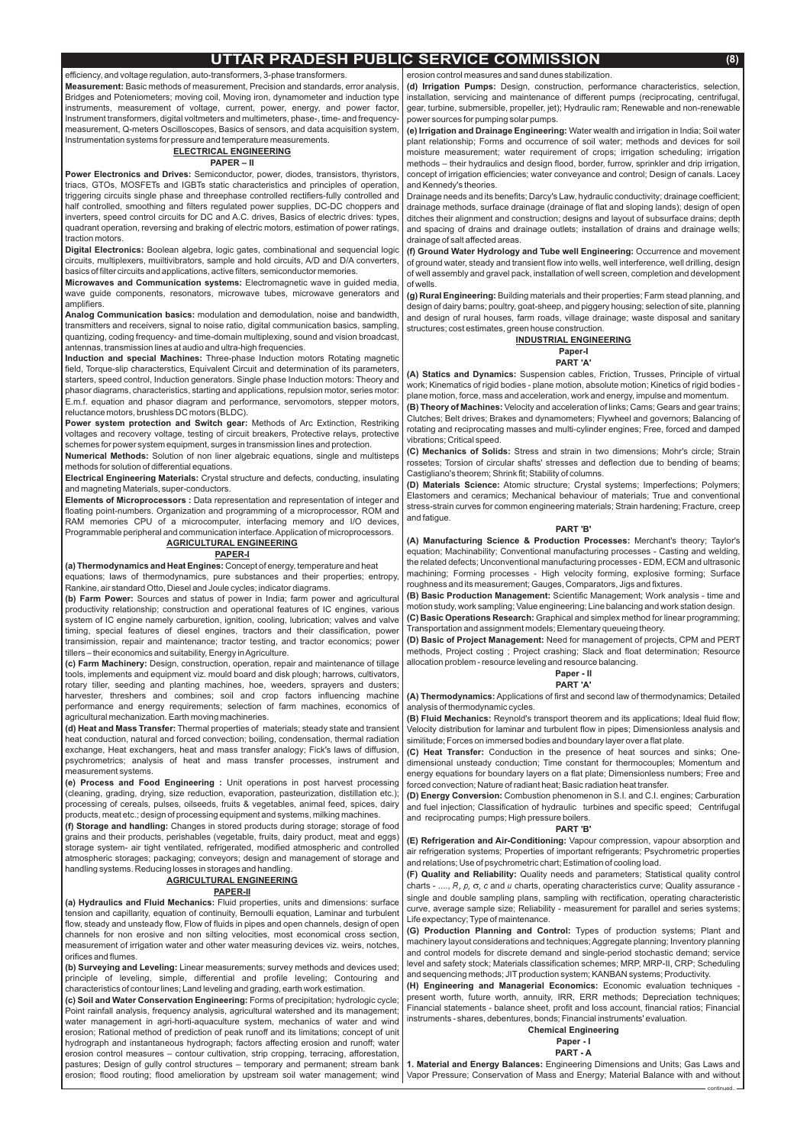## **UTTAR PRADESH PUBLIC SERVICE COMMISSION (8)**

efficiency, and voltage regulation, auto-transformers, 3-phase transformers.

**Measurement:** Basic methods of measurement, Precision and standards, error analysis, Bridges and Poteniometers; moving coil, Moving iron, dynamometer and induction type instruments, measurement of voltage, current, power, energy, and power factor, Instrument transformers, digital voltmeters and multimeters, phase-, time- and frequencymeasurement, Q-meters Oscilloscopes, Basics of sensors, and data acquisition system, Instrumentation systems for pressure and temperature measurements.

**Power Electronics and Drives:** Semiconductor, power, diodes, transistors, thyristors, triacs, GTOs, MOSFETs and IGBTs static characteristics and principles of operation, triggering circuits single phase and threephase controlled rectifiers-fully controlled and half controlled, smoothing and filters regulated power supplies, DC-DC choppers and inverters, speed control circuits for DC and A.C. drives, Basics of electric drives: types, quadrant operation, reversing and braking of electric motors, estimation of power ratings, traction motors.

**Digital Electronics:** Boolean algebra, logic gates, combinational and sequencial logic circuits, multiplexers, muiltivibrators, sample and hold circuits, A/D and D/A converters, basics of filter circuits and applications, active filters, semiconductor memories.

**Microwaves and Communication systems:** Electromagnetic wave in guided media, wave guide components, resonators, microwave tubes, microwave generators and amplifiers.

Analog Communication basics: modulation and demodulation, noise and bandwidth, transmitters and receivers, signal to noise ratio, digital communication basics, sampling, quantizing, coding frequency- and time-domain multiplexing, sound and vision broadcast, antennas, transmission lines at audio and ultra-high frequencies.

**Induction and special Machines:** Three-phase Induction motors Rotating magnetic field, Torque-slip characterstics, Equivalent Circuit and determination of its parameters, starters, speed control, Induction generators. Single phase Induction motors: Theory and phasor diagrams, characteristics, starting and applications, repulsion motor, series motor: E.m.f. equation and phasor diagram and performance, servomotors, stepper motors, reluctance motors, brushless DC motors (BLDC).

**Power system protection and Switch gear: Methods of Arc Extinction, Restriking** voltages and recovery voltage, testing of circuit breakers, Protective relays, protective schemes for power system equipment, surges in transmission lines and protection.

**Numerical Methods:** Solution of non liner algebraic equations, single and multisteps methods for solution of differential equations.

**Electrical Engineering Materials:** Crystal structure and defects, conducting, insulating and magneting Materials, super-conductors.

**Elements of Microprocessors :** Data representation and representation of integer and floating point-numbers. Organization and programming of a microprocessor, ROM and RAM memories CPU of a microcomputer, interfacing memory and I/O devices, Programmable peripheral and communication interface.Application of microprocessors.

**(a) Thermodynamics and Heat Engines:** Concept of energy, temperature and heat equations; laws of thermodynamics, pure substances and their properties; entropy, Rankine, air standard Otto, Diesel and Joule cycles; indicator diagrams.

**(b) Farm Power:** Sources and status of power in India; farm power and agricultural productivity relationship; construction and operational features of IC engines, various system of IC engine namely carburetion, ignition, cooling, lubrication; valves and valve timing, special features of diesel engines, tractors and their classification, power transimission, repair and maintenance; tractor testing, and tractor economics; power tillers - their economics and suitability, Energy in Agriculture.

**(c) Farm Machinery:** Design, construction, operation, repair and maintenance of tillage tools, implements and equipment viz. mould board and disk plough; harrows, cultivators, rotary tiller, seeding and planting machines, hoe, weeders, sprayers and dusters; harvester, threshers and combines; soil and crop factors influencing machine performance and energy requirements; selection of farm machines, economics of agricultural mechanization. Earth moving machineries.

**(d) Heat and Mass Transfer:** Thermal properties of materials; steady state and transient heat conduction, natural and forced convection; boiling, condensation, thermal radiation exchange, Heat exchangers, heat and mass transfer analogy; Fick's laws of diffusion, psychrometrics; analysis of heat and mass transfer processes, instrument and measurement systems.

**(e) Process and Food Engineering :** Unit operations in post harvest processing (cleaning, grading, drying, size reduction, evaporation, pasteurization, distillation etc.); processing of cereals, pulses, oilseeds, fruits & vegetables, animal feed, spices, dairy products, meat etc.; design of processing equipment and systems, milking machines.

(a) Hydraulics and Fluid Mechanics: Fluid properties, units and dimensions: surface tension and capillarity, equation of continuity, Bernoulli equation, Laminar and turbulent flow, steady and unsteady flow, Flow of fluids in pipes and open channels, design of open channels for non erosive and non silting velocities, most economical cross section, measurement of irrigation water and other water measuring devices viz. weirs, notches, orifices and flumes.

(b) Surveying and Leveling: Linear measurements; survey methods and devices used; principle of leveling, simple, differential and profile leveling; Contouring and characteristics of contour lines; Land leveling and grading, earth work estimation.

(c) Soil and Water Conservation Engineering: Forms of precipitation; hydrologic cycle; Point rainfall analysis, frequency analysis, agricultural watershed and its management; water management in agri-horti-aquaculture system, mechanics of water and wind erosion; Rational method of prediction of peak runoff and its limitations; concept of unit hydrograph and instantaneous hydrograph; factors affecting erosion and runoff; water erosion control measures – contour cultivation, strip cropping, terracing, afforestation, pastures; Design of gully control structures – temporary and permanent; stream bank erosion; flood routing; flood amelioration by upstream soil water management; wind

(f) Storage and handling: Changes in stored products during storage; storage of food grains and their products, perishables (vegetable, fruits, dairy product, meat and eggs) storage system- air tight ventilated, refrigerated, modified atmospheric and controlled atmospheric storages; packaging; conveyors; design and management of storage and handling systems. Reducing losses in storages and handling. **AGRICULTURAL ENGINEERING**

**(d) Irrigation Pumps:** Design, construction, performance characteristics, selection, installation, servicing and maintenance of different pumps (reciprocating, centrifugal, gear, turbine, submersible, propeller, jet); Hydraulic ram; Renewable and non-renewable power sources for pumping solar pumps.

**(e) Irrigation and Drainage Engineering:** Water wealth and irrigation in India; Soil water plant relationship; Forms and occurrence of soil water; methods and devices for soil moisture measurement; water requirement of crops; irrigation scheduling; irrigation methods – their hydraulics and design flood, border, furrow, sprinkler and drip irrigation, concept of irrigation efficiencies; water conveyance and control; Design of canals. Lacey and Kennedy's theories.

**(f) Ground Water Hydrology and Tube well Engineering:** Occurrence and movement of ground water, steady and transient flow into wells, well interference, well drilling, design of well assembly and gravel pack, installation of well screen, completion and development of wells.

**(g) Rural Engineering:** Building materials and their properties; Farm stead planning, and design of dairy barns; poultry, goat-sheep, and piggery housing; selection of site, planning and design of rural houses, farm roads, village drainage; waste disposal and sanitary structures; cost estimates, green house construction.

**(B) Theory of Machines:** Velocity and acceleration of links; Cams; Gears and gear trains; Clutches; Belt drives; Brakes and dynamometers; Flywheel and governors; Balancing of rotating and reciprocating masses and multi-cylinder engines; Free, forced and damped vibrations; Critical speed.

**(B) Basic Production Management:** Scientific Management; Work analysis - time and **(C) Basic Operations Research:** Graphical and simplex method for linear programming; motion study, work sampling; Value engineering; Line balancing and work station design. Transportation and assignment models; Elementary queueing theory.

**(D) Basic of Project Management:** Need for management of projects, CPM and PERT methods, Project costing ; Project crashing; Slack and float determination; Resource allocation problem - resource leveling and resource balancing.

**(A) Thermodynamics:** Applications of first and second law of thermodynamics; Detailed analysis of thermodynamic cycles.

**(B) Fluid Mechanics:** Reynold's transport theorem and its applications; Ideal fluid flow; Velocity distribution for laminar and turbulent flow in pipes; Dimensionless analysis and similitude; Forces on immersed bodies and boundary layer over a flat plate.

**(C) Heat Transfer:** Conduction in the presence of heat sources and sinks; Onedimensional unsteady conduction; Time constant for thermocouples; Momentum and energy equations for boundary layers on a flat plate; Dimensionless numbers; Free and forced convection; Nature of radiant heat; Basic radiation heat transfer.

charts - ...., R, p,  $\sigma$ , c and u charts, operating characteristics curve; Quality assurance -**(F) Quality and Reliability:** Quality needs and parameters; Statistical quality control single and double sampling plans, sampling with rectification, operating characteristic curve, average sample size; Reliability - measurement for parallel and series systems; Life expectancy; Type of maintenance.

#### **PAPER – II**

## **ELECTRICAL ENGINEERING**

## **AGRICULTURAL ENGINEERING**

## **PAPER-I**

#### **PAPER-II**

erosion control measures and sand dunes stabilization.

Drainage needs and its benefits; Darcy's Law, hydraulic conductivity; drainage coefficient; drainage methods, surface drainage (drainage of flat and sloping lands); design of open ditches their alignment and construction; designs and layout of subsurface drains; depth and spacing of drains and drainage outlets; installation of drains and drainage wells; drainage of salt affected areas.

#### **INDUSTRIAL ENGINEERING Paper-I PART 'A'**

#### **PART 'B'**

#### **Paper - II PART 'A'**

#### **PART 'B'**

**(A) Statics and Dynamics:** Suspension cables, Friction, Trusses, Principle of virtual work; Kinematics of rigid bodies - plane motion, absolute motion; Kinetics of rigid bodies plane motion, force, mass and acceleration, work and energy, impulse and momentum.

## **Chemical Engineering**

**Paper - I PART - A**

**(C) Mechanics of Solids:** Stress and strain in two dimensions; Mohr's circle; Strain rossetes; Torsion of circular shafts' stresses and deflection due to bending of beams; Castigliano's theorem; Shrink fit; Stability of columns.

**(D) Materials Science:** Atomic structure; Crystal systems; Imperfections; Polymers; Elastomers and ceramics; Mechanical behaviour of materials; True and conventional stress-strain curves for common engineering materials; Strain hardening; Fracture, creep and fatigue.

**(A) Manufacturing Science & Production Processes:** Merchant's theory; Taylor's equation; Machinability; Conventional manufacturing processes - Casting and welding, the related defects; Unconventional manufacturing processes - EDM, ECM and ultrasonic machining; Forming processes - High velocity forming, explosive forming; Surface roughness and its measurement; Gauges, Comparators, Jigs and fixtures.

**(D) Energy Conversion:** Combustion phenomenon in S.I. and C.I. engines; Carburation and fuel injection; Classification of hydraulic turbines and specific speed; Centrifugal and reciprocating pumps; High pressure boilers.

**(E) Refrigeration and Air-Conditioning:** Vapour compression, vapour absorption and air refrigeration systems; Properties of important refrigerants; Psychrometric properties and relations; Use of psychrometric chart; Estimation of cooling load.

**(G) Production Planning and Control:** Types of production systems; Plant and machinery layout considerations and techniques;Aggregate planning; Inventory planning and control models for discrete demand and single-period stochastic demand; service level and safety stock; Materials classification schemes; MRP, MRP-II, CRP; Scheduling and sequencing methods; JIT production system; KANBAN systems; Productivity.

**(H) Engineering and Managerial Economics:** Economic evaluation techniques present worth, future worth, annuity, IRR, ERR methods; Depreciation techniques; Financial statements - balance sheet, profit and loss account, financial ratios; Financial instruments - shares, debentures, bonds; Financial instruments' evaluation.

**1. Material and Energy Balances:** Engineering Dimensions and Units; Gas Laws and Vapor Pressure; Conservation of Mass and Energy; Material Balance with and without

continued..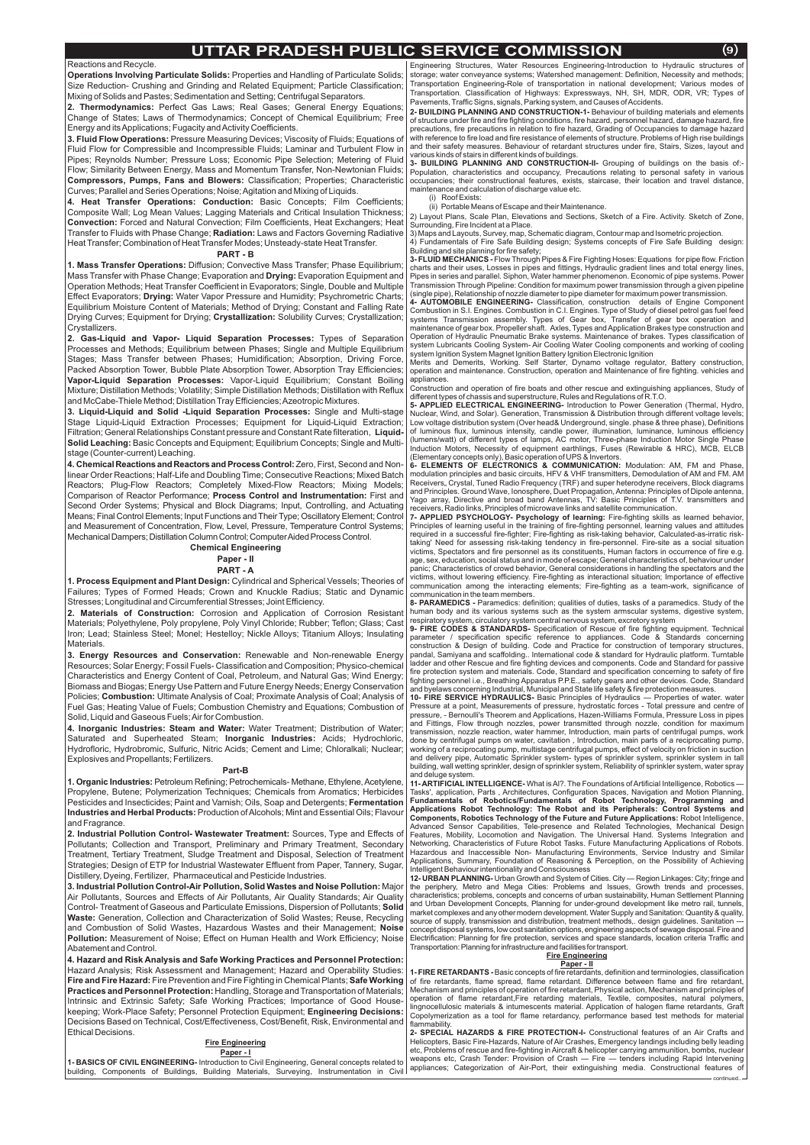#### Reactions and Recycle.

**Operations Involving Particulate Solids:** Properties and Handling of Particulate Solids; Size Reduction- Crushing and Grinding and Related Equipment; Particle Classification; Mixing of Solids and Pastes; Sedimentation and Setting; Centrifugal Separators.

**2. Thermodynamics:** Perfect Gas Laws; Real Gases; General Energy Equations; Change of States; Laws of Thermodynamics; Concept of Chemical Equilibrium; Free Energy and itsApplications; Fugacity andActivity Coefficients.

**3. Fluid Flow Operations:** Pressure Measuring Devices; Viscosity of Fluids; Equations of Fluid Flow for Compressible and Incompressible Fluids; Laminar and Turbulent Flow in Pipes; Reynolds Number; Pressure Loss; Economic Pipe Selection; Metering of Fluid Flow; Similarity Between Energy, Mass and Momentum Transfer, Non-Newtonian Fluids; **Compressors, Pumps, Fans and Blowers:** Classification; Properties; Characteristic Curves; Parallel and Series Operations; Noise;Agitation and Mixing of Liquids.

4. Heat Transfer Operations: Conduction: Basic Concepts; Film Coefficients; Composite Wall; Log Mean Values; Lagging Materials and Critical Insulation Thickness; **Convection:** Forced and Natural Convection; Film Coefficients, Heat Exchangers; Heat Transfer to Fluids with Phase Change; **Radiation:** Laws and Factors Governing Radiative Heat Transfer; Combination of Heat Transfer Modes; Unsteady-state Heat Transfer.

**1. Mass Transfer Operations:** Diffusion; Convective Mass Transfer; Phase Equilibrium; Mass Transfer with Phase Change; Evaporation and **Drying:** Evaporation Equipment and Operation Methods; Heat Transfer Coefficient in Evaporators; Single, Double and Multiple Effect Evaporators; **Drying:** Water Vapor Pressure and Humidity; Psychrometric Charts; Equilibrium Moisture Content of Materials; Method of Drying; Constant and Falling Rate Drying Curves; Equipment for Drying; **Crystallization:** Solubility Curves; Crystallization; Crystallizers.

**2. Gas-Liquid and Vapor- Liquid Separation Processes:** Types of Separation Processes and Methods; Equilibrium between Phases; Single and Multiple Equilibrium Stages; Mass Transfer between Phases; Humidification; Absorption, Driving Force, Packed Absorption Tower, Bubble Plate Absorption Tower, Absorption Tray Efficiencies; **Vapor-Liquid Separation Processes:** Vapor-Liquid Equilibrium; Constant Boiling Mixture; Distillation Methods; Volatility; Simple Distillation Methods; Distillation with Reflux and McCabe-Thiele Method; Distillation Tray Efficiencies;Azeotropic Mixtures.

3. Liquid-Liquid and Solid -Liquid Separation Processes: Single and Multi-stage Stage Liquid-Liquid Extraction Processes; Equipment for Liquid-Liquid Extraction; Filtration; General Relationships Constant pressure and Constant Rate filteration, **Liquid-Solid Leaching:** Basic Concepts and Equipment; Equilibrium Concepts; Single and Multistage (Counter-current) Leaching.

**4. Chemical Reactions and Reactors and Process Control:** Zero, First, Second and Nonlinear Order Reactions; Half-Life and Doubling Time; Consecutive Reactions; Mixed Batch Reactors; Plug-Flow Reactors; Completely Mixed-Flow Reactors; Mixing Models; Comparison of Reactor Performance; **Process Control and Instrumentation:** First and Second Order Systems; Physical and Block Diagrams; Input, Controlling, and Actuating Means; Final Control Elements; Input Functions and Their Type; Oscillatory Element; Control and Measurement of Concentration, Flow, Level, Pressure, Temperature Control Systems; Mechanical Dampers; Distillation Column Control; Computer Aided Process Control.

**1. Process Equipment and Plant Design:** Cylindrical and Spherical Vessels; Theories of Failures; Types of Formed Heads; Crown and Knuckle Radius; Static and Dynamic Stresses; Longitudinal and Circumferential Stresses; Joint Efficiency.

**2. Materials of Construction:** Corrosion and Application of Corrosion Resistant Materials; Polyethylene, Poly propylene, Poly Vinyl Chloride; Rubber; Teflon; Glass; Cast Iron; Lead; Stainless Steel; Monel; Hestelloy; Nickle Alloys; Titanium Alloys; Insulating Materials.

**3. Energy Resources and Conservation:** Renewable and Non-renewable Energy Resources; Solar Energy; Fossil Fuels- Classification and Composition; Physico-chemical Characteristics and Energy Content of Coal, Petroleum, and Natural Gas; Wind Energy; Biomass and Biogas; Energy Use Pattern and Future Energy Needs; Energy Conservation Policies; **Combustion:** Ultimate Analysis of Coal; Proximate Analysis of Coal; Analysis of Fuel Gas; Heating Value of Fuels; Combustion Chemistry and Equations; Combustion of Solid, Liquid and Gaseous Fuels;Air for Combustion.

**4. Inorganic Industries: Steam and Water:** Water Treatment; Distribution of Water; Saturated and Superheated Steam; **Inorganic Industries:** Acids; Hydrochloric, Hydrofloric, Hydrobromic, Sulfuric, Nitric Acids; Cement and Lime; Chloralkali; Nuclear; Explosives and Propellants; Fertilizers.

1. Organic Industries: Petroleum Refining; Petrochemicals- Methane, Ethylene, Acetylene, Propylene, Butene; Polymerization Techniques; Chemicals from Aromatics; Herbicides Pesticides and Insecticides; Paint and Varnish; Oils, Soap and Detergents; **Fermentation Industries and Herbal Products:** Production of Alcohols; Mint and Essential Oils; Flavour and Fragrance.

2. Industrial Pollution Control- Wastewater Treatment: Sources, Type and Effects of Pollutants; Collection and Transport, Preliminary and Primary Treatment, Secondary Treatment, Tertiary Treatment, Sludge Treatment and Disposal, Selection of Treatment Strategies; Design of ETP for Industrial Wastewater Effluent from Paper, Tannery, Sugar, Distillery, Dyeing, Fertilizer, Pharmaceutical and Pesticide Industries. **3. Industrial Pollution Control-Air Pollution, Solid Wastes and Noise Pollution:** Major Air Pollutants, Sources and Effects of Air Pollutants, Air Quality Standards; Air Quality Control- Treatment of Gaseous and Particulate Emissions, Dispersion of Pollutants; **Solid Waste:** Generation, Collection and Characterization of Solid Wastes; Reuse, Recycling and Combustion of Solid Wastes, Hazardous Wastes and their Management; **Noise Pollution:** Measurement of Noise; Effect on Human Health and Work Efficiency; Noise Abatement and Control.

2- BUILDING PLANNING AND CONSTRUCTION-1- Behaviour of building materials and elements of structure under fire and fire fighting conditions, fire hazard, personnel hazard, damage hazard, fire precautions, fire precautions in relation to fire hazard, Grading of Occupancies to damage hazard with reference to fire load and fire resistance of elements of structure. Problems of High rise buildings and their safety measures. Behaviour of retardant structures under fire, Stairs, Sizes, layout and various kinds of stairs in different kinds of buildings.

**3- BUILDING PLANNING AND CONSTRUCTION-II-** Grouping of buildings on the basis of:-Population, characteristics and occupancy, Precautions relating to personal safety in various occupancies; their constructional features, exists, staircase, their location and travel distance, maintenance and calculation of discharge value etc.

**3- FLUID MECHANICS -** Flow Through Pipes & Fire Fighting Hoses: Equations for pipe flow. Friction charts and their uses, Losses in pipes and fittings, Hydraulic gradient lines and total energy lines, Pipes in series and parallel. Siphon, Water hammer phenomenon. Economic of pipe systems. Power Transmission Through Pipeline: Condition for maximum power transmission through a given pipeline (single pipe), Relationship of nozzle diameter to pipe diameter for maximum power transmission.

**4- AUTOMOBILE ENGINEERING-** Classification, construction details of Engine Component Combustion in S.I. Engines. Combustion in C.I. Engines. Type of Study of diesel petrol gas fuel feed systems Transmission assembly. Types of Gear box, Transfer of gear box operation and maintenance of gear box. Propeller shaft. Axles, Types and Application Brakes type construction and Operation of Hydraulic Pneumatic Brake systems. Maintenance of brakes. Types classification of system Lubricants Cooling System- Air Cooling Water Cooling components and working of cooling system Ignition System Magnet Ignition Battery Ignition Electronic Ignition

**5- APPLIED ELECTRICAL ENGINEERING-** Introduction to Power Generation (Thermal, Hydro, Nuclear, Wind, and Solar). Generation, Transmission & Distribution through different voltage levels; Low voltage distribution system (Over head& Underground, single. phase & three phase), Definitions of luminous flux, luminous intensity, candle power, illumination, luminance, luminous efficiency (lumens/watt) of different types of lamps, AC motor, Three-phase Induction Motor Single Phase Induction Motors, Necessity of equipment earthlings, Fuses (Rewirable & HRC), MCB, ELCB (Elementary concepts only), Basic operation of UPS & Invertors.

Hazard Analysis; Risk Assessment and Management; Hazard and Operability Studies: **Fire and Fire Hazard:** Fire Prevention and Fire Fighting in Chemical Plants; <code>Safe Working</code> **Practices and Personnel Protection:** Handling, Storage and Transportation of Materials; Intrinsic and Extrinsic Safety; Safe Working Practices; Importance of Good Housekeeping; Work-Place Safety; Personnel Protection Equipment; **Engineering Decisions:** Decisions Based on Technical, Cost/Effectiveness, Cost/Benefit, Risk, Environmental and Ethical Decisions.

6- ELEMENTS OF ELECTRONICS & COMMUNICATION: Modulation: AM, FM and Phase, modulation principles and basic circuits, HFV & VHF transmitters, Demodulation of AM and FM. AM Receivers, Crystal, Tuned Radio Frequency (TRF) and super heterodyne receivers, Block diagrams and Principles. Ground Wave, Ionosphere, Duet Propagation,Antenna: Principles of Dipole antenna, Yago array, Directive and broad band Antennas, TV: Basic Principles of T.V. transmitters and receivers, Radio links, Principles of microwave links and satellite communication.

#### **PART - B**

7- APPLIED PSYCHOLOGY- Psychology of learning: Fire-fighting skills as learned behavior, Principles of learning useful in the training of fire-fighting personnel, learning values and attitudes required in a successful fire-fighter; Fire-fighting as risk-taking behavior, Calculated-as-irratic risktaking' Need for assessing risk-taking tendency in fire-personnel. Fire-site as a social situation victims, Spectators and fire personnel as its constituents, Human factors in occurrence of fire e.g. age, sex, education, social status and in mode of escape; General characteristics of, behaviour under panic; Characteristics of crowd behavior, General considerations in handling the spectators and the victims, without lowering efficiency. Fire-fighting as interactional situation; Importance of effective communication among the interacting elements; Fire-fighting as a team-work, significance of communication in the team members.

**8- PARAMEDICS** - Paramedics: definition; qualities of duties, tasks of a paramedics. Study of the human body and its various systems such as the system armscular systems, digestive system, respiratory system, circulatory system central nervous system, excretory system

#### **Chemical Engineering**

#### **Paper - II PART - A**

#### **Part-B**

**9- FIRE CODES & STANDARDS-** Specification of Rescue of fire fighting equipment. Technical parameter / specification specific reference to appliances. Code & Standards concerning construction & Design of building. Code and Practice for construction of temporary structures, pandal, Samiyana and scaffolding.. International code & standard for Hydraulic platform. Turntable ladder and other Rescue and fire fighting devices and components. Code and Standard for passive fire protection system and materials. Code, Standard and specification concerning to safety of fire fighting personnel i.e., Breathing Apparatus P.P.E., safety gears and other devices. Code, Standard and byelaws concerning Industrial, Municipal and State life safety & fire protection measures.

#### **4. Hazard and Risk Analysis and Safe Working Practices and Personnel Protection:**

#### **Fire Engineering**

#### **Paper - I**

**1- BASICS OF CIVIL ENGINEERING-** Introduction to Civil Engineering, General concepts related to building, Components of Buildings, Building Materials, Surveying, Instrumentation in Civil

**10- FIRE SERVICE HYDRAULICS-** Basic Principles of Hydraulics — Properties of water. water Pressure at a point, Measurements of pressure, hydrostatic forces - Total pressure and centre of pressure, - Bernoulli's Theorem and Applications, Hazen-Williams Formula, Pressure Loss in pipes and Fittings, Flow through nozzles, power transmitted through nozzle, condition for maximum transmission, nozzle reaction, water hammer, Introduction, main parts of centrifugal pumps, work done by centrifugal pumps on water, cavitation , Introduction, main parts of a reciprocating pump, working of a reciprocating pump, multistage centrifugal pumps, effect of velocity on friction in suction and delivery pipe, Automatic Sprinkler system- types of sprinkler system, sprinkler system in tall building, wall wetting sprinkler, design of sprinkler system, Reliability of sprinkler system, water spray and deluge system.

## **UTTAR PRADESH PUBLIC SERVICE COMMISSION** *¼9½*

Engineering Structures, Water Resources Engineering-Introduction to Hydraulic structures of storage; water conveyance systems; Watershed management: Definition, Necessity and methods; Transportation Engineering-Role of transportation in national development; Various modes of Transportation. Classification of Highways: Expressways, NH, SH, MDR, ODR, VR; Types of Pavements, Traffic Signs, signals, Parking system, and Causes ofAccidents.

**1- FIRE RETARDANTS** - Basic concepts of fire retardants, definition and terminologies, classification of fire retardants, flame spread, flame retardant. Difference between flame and fire retardant, Mechanism and principles of operation of fire retardant, Physical action, Mechanism and principles of operation of flame retardant,Fire retarding materials, Textile, composites, natural polymers, lingnocellulosic materials & intumescents material. Application of halogen flame retardants, Graft Copolymerization as a tool for flame retardancy, performance based test methods for material flammability.

2- SPECIAL HAZARDS & FIRE PROTECTION-I- Constructional features of an Air Crafts and Helicopters, Basic Fire-Hazards, Nature of Air Crashes, Emergency landings including belly leading etc, Problems of rescue and fire-fighting in Aircraft & helicopter carrying ammunition, bombs, nuclear weapons etc, Crash Tender: Provision of Crash — Fire — tenders including Rapid Intervening appliances; Categorization of Air-Port, their extinguishing media. Constructional features of

(i) Roof Exists:

(ii) Portable Means of Escape and their Maintenance.

2) Layout Plans, Scale Plan, Elevations and Sections, Sketch of a Fire. Activity. Sketch of Zone, Surrounding, Fire Incident at a Place.

**11- ARTIFICIAL INTELLIGENCE-** What is AI?. The Foundations of Artificial Intelligence, Robotics — Tasks', application, Parts , Architectures, Configuration Spaces, Navigation and Motion Planning, **Components, Robotics Technology of the Future and Future Applications: Robot Intelligence,** Advanced Sensor Capabilities, Tele-presence and Related Technologies, Mechanical Design Features, Mobility, Locomotion and Navigation. The Universal Hand. Systems Integration and Networking, Characteristics of Future Robot Tasks. Future Manufacturing Applications of Robots. Hazardous and Inaccessible Non- Manufacturing Environments, Service Industry and Similar Applications, Summary, Foundation of Reasoning & Perception, on the Possibility of Achieving **Fundamentals of Robotics/Fundamentals of Robot Technology, Programming and Applications Robot Technology: The Robot and its Peripherals: Control Systems and**

3) Maps and Layouts, Survey, map, Schematic diagram, Contour map and Isometric projection. 4) Fundamentals of Fire Safe Building design; Systems concepts of Fire Safe Building design:

Building and site planning for fire safety;

Merits and Demerits, Working. Self Starter, Dynamo voltage regulator, Battery construction, operation and maintenance. Construction, operation and Maintenance of fire fighting. vehicles and appliances.

Construction and operation of fire boats and other rescue and extinguishing appliances, Study of different types of chassis and superstructure, Rules and Regulations of R.T.O.

Intelligent Behaviour intentionality and Consciousness

12- URBAN PLANNING- Urban Growth and System of Cities. City — Region Linkages: City; fringe and the periphery, Metro and Mega Cities: Problems and Issues, Growth trends and processes, characteristics; problems, concepts and concerns of urban sustainability, Human Settlement Planning and Urban Development Concepts, Planning for under-ground development like metro rail, tunnels, market complexes and any other modern development. Water Supply and Sanitation: Quantity & quality, source of supply, transmission and distribution, treatment methods,. design quidelines. Sanitation concept disposal systems, low cost sanitation options, engineering aspects of sewage disposal. Fire and Electrification: Planning for fire protection, services and space standards, location criteria Traffic and Transportation: Planning for infrastructure and facilities for transport.

#### **Fire Engineering**

#### **Paper - II**

continued..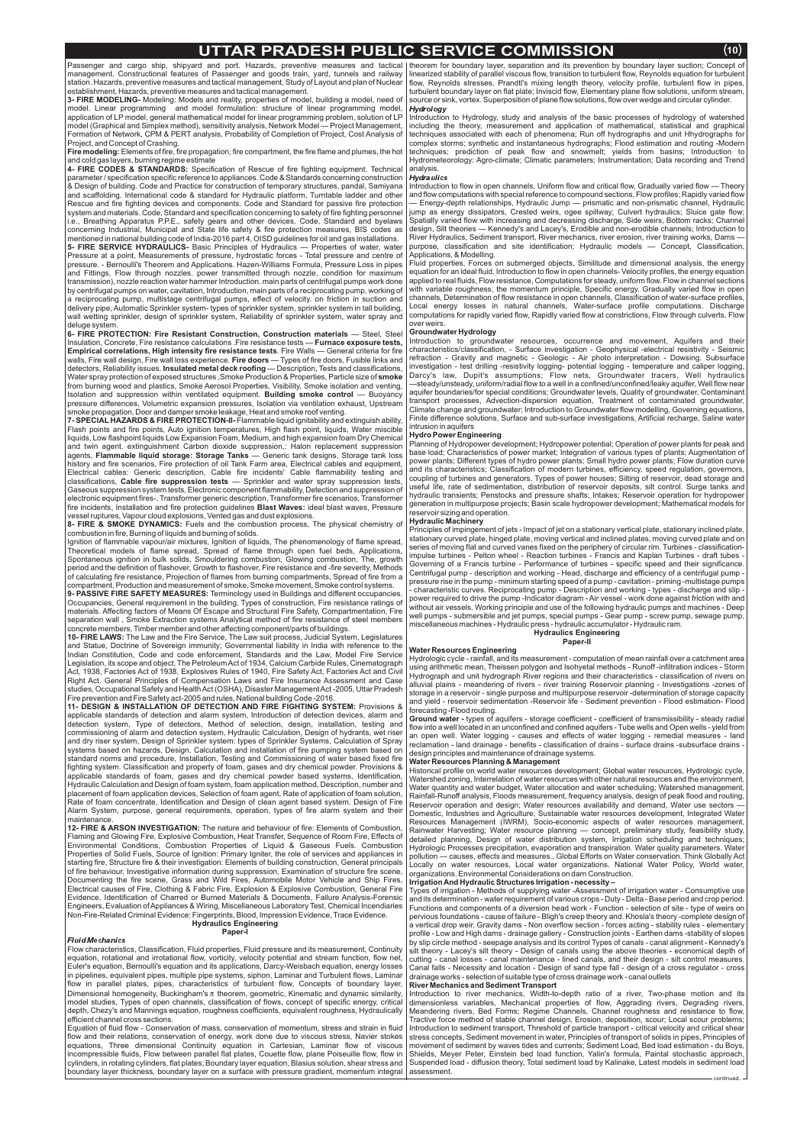## **UTTAR PRADESH PUBLIC SERVICE COMMISSION** *¼10½*

Passenger and cargo ship, shipyard and port. Hazards, preventive measures and tactical |theorem for boundary layer, separation and its prevention by boundary layer suction; Concept of management. Constructional features of Passenger and goods train, yard, tunnels and railway station. Hazards, preventive measures and tactical management, Study of Layout and plan of Nuclear establishment, Hazards, preventive measures and tactical management.

**3- FIRE MODELING-** Modeling: Models and reality, properties of model, building a model, need of model. Linear programming and model formulation: structure of linear programming model, application of LP model, general mathematical model for linear programming problem, solution of LP model (Graphical and Simplex method), sensitivity analysis, Network Model — Project Management, Formation of Network, CPM & PERT analysis, Probability of Completion of Project, Cost Analysis of Project, and Concept of Crashing.

**Fire modeling:** Elements of fire, fire propagation, fire compartment, the fire flame and plumes, the hot and cold gas layers, burning regime estimate

**4- FIRE CODES & STANDARDS:** Specification of Rescue of fire fighting equipment. Technical parameter / specification specific reference to appliances. Code & Standards concerning construction & Design of building. Code and Practice for construction of temporary structures, pandal, Samiyana and scaffolding. International code & standard for Hydraulic platform, Turntable ladder and other Rescue and fire fighting devices and components. Code and Standard for passive fire protection system and materials. Code, Standard and specification concerning to safety of fire fighting personnel i.e., Breathing Apparatus P.P.E., safety gears and other devices. Code, Standard and byelaws concerning Industrial, Municipal and State life safety & fire protection measures, BIS codes as mentioned in national building code of India-2016 part 4, OISD guidelines for oil and gas installations.

**5- FIRE SERVICE HYDRAULICS-** Basic Principles of Hydraulics — Properties of water, water Pressure at a point, Measurements of pressure, hydrostatic forces - Total pressure and centre of pressure. - Bernoulli's Theorem and Applications. Hazen-Williams Formula, Pressure Loss in pipes and Fittings, Flow through nozzles. power transmitted through nozzle, condition for maximum transmission), nozzle reaction water hammer Introduction. main parts of centrifugal pumps work done by centrifugal pumps on water, cavitation, Introduction, main parts of a reciprocating pump, working of a reciprocating pump, multistage centrifugal pumps, effect of velocity. on friction in suction and delivery pipe, Automatic Sprinkler system- types of sprinkler system, sprinkler system in tall building, wall wetting sprinkler, design of sprinkler system, Reliability of sprinkler system, water spray and deluge system.

6- FIRE PROTECTION: Fire Resistant Construction, Construction materials — Steel, Steel Insulation, Concrete, Fire resistance calculations .Fire resistance tests — **Furnace exposure tests, Empirical correlations, High intensity fire resistance tests**. Fire Walls — General criteria for fire walls, Fire wall design, Fire wall loss experience. **Fire doors** — Types of fire doors, Fusible links and detectors, Reliability issues. **Insulated metal deck roofing** — Description, Tests and classifications, Water spray protection of exposed structures ,Smoke Production & Properties, Particle size of **smoke** from burning wood and plastics, Smoke Aerosol Properties, Visibility, Smoke isolation and venting, Isolation and suppression within ventilated equipment. **Building smoke control** — Buoyancy pressure differences, Volumetric expansion pressures, Isolation via ventilation exhaust, Upstream smoke propagation, Door and damper smoke leakage, Heat and smoke roof venting.

**7- SPECIAL HAZARDS & FIRE PROTECTION-II-** Flammable liquid ignitability and extinguish ability, Flash points and fire points, Auto ignition temperatures, High flash point, liquids, Water miscible liquids, Low flashpoint liquids Low Expansion Foam, Medium, and high expansion foam Dry Chemical and twin agent. extinguishment Carbon dioxide suppression,: Halon replacement suppression agents, **Flammable liquid storage: Storage Tanks** — Generic tank designs, Storage tank loss history and fire scenarios, Fire protection of oil Tank Farm area, Electrical cables and equipment, Electrical cables: Generic description, Cable fire incidents' Cable flammability testing and classifications, Cable fire suppression tests — Sprinkler and water spray suppression tests, Gaseous suppression system tests, Electronic component flammability, Detection and suppression of electronic equipment fires-, Transformer generic description, Transformer fire scenarios, Transformer fire incidents, Installation and fire protection guidelines **Blast Waves:** ideal blast waves, Pressure vessel ruptures, Vapour cloud explosions, Vented gas and dust explosions.

8- FIRE & SMOKE DYNAMICS: Fuels and the combustion process, The physical chemistry of combustion in fire, Burning of liquids and burning of solids.

**9- PASSIVE FIRE SAFETY MEASURES:** Terminology used in Buildings and different occupancies. Occupancies, General requirement in the building. Types of construction, Fire resistance ratings of materials. Affecting factors of Means Of Escape and Structural Fire Safety, Compartmentation, Fire separation wall , Smoke Extraction systems Analytical method of fire resistance of steel members concrete members, Timber member and other affecting component/parts of buildings.

**10- FIRE LAWS:** The Law and the Fire Service, The Law suit process, Judicial System, Legislatures and Statue, Doctrine of Sovereign immunity; Governmental liability in India with reference to the Indian Constitution, Code and code enforcement, Standards and the Law, Model Fire Service Legislation, its scope and object, The PetroleumAct of 1934, Calcium Carbide Rules, Cinematograph Act, 1938, Factories Act of 1938, Explosives Rules of 1940, Fire Safety Act, Factories Act and Civil Right Act. General Principles of Compensation Laws and Fire Insurance Assessment and Case studies, Occupational Safety and HealthAct (OSHA), Disaster ManagementAct -2005, Uttar Pradesh Fire prevention and Fire Safety act-2005 and rules, National building Code -2016.

**11- DESIGN & INSTALLATION OF DETECTION AND FIRE FIGHTING SYSTEM:** Provisions & applicable standards of detection and alarm system, Introduction of detection devices, alarm and detection system, Type of detectors, Method of selection, design, installation, testing and commissioning of alarm and detection system, Hydraulic Calculation, Design of hydrants, wet riser and dry riser system, Design of Sprinkler system: types of Sprinkler Systems, Calculation of Spray systems based on hazards, Design, Calculation and installation of fire pumping system based on standard norms and procedure, Installation, Testing and Commissioning of water based fixed fire fighting system. Classification and property of foam, gases and dry chemical powder. Provisions & applicable standards of foam, gases and dry chemical powder based systems, Identification, Hydraulic Calculation and Design of foam system, foam application method, Description, number and placement of foam application devices, Selection of foam agent, Rate of application of foam solution, Rate of foam concentrate, Identification and Design of clean agent based system. Design of Fire Alarm System, purpose, general requirements, operation, types of fire alarm system and their maintenance.

12- FIRE & ARSON INVESTIGATION: The nature and behaviour of fire: Elements of Combustion, Flaming and Glowing Fire, Explosive Combustion, Heat Transfer, Sequence of Room Fire, Effects of Environmental Conditions, Combustion Properties of Liquid & Gaseous Fuels. Combustion Properties of Solid Fuels, Source of Ignition: Primary Igniter, the role of services and appliances in starting fire, Structure fire & their investigation: Elements of building construction, General principals of fire behaviour, Investigative information during suppression, Examination of structure fire scene, Documenting the fire scene, Grass and Wild Fires, Automobile Motor Vehicle and Ship Fires, Electrical causes of Fire, Clothing & Fabric Fire, Explosion & Explosive Combustion, General Fire Evidence, Identification of Charred or Burned Materials & Documents, Failure Analysis-Forensic Engineers, Evaluation ofAppliances & Wiring, Miscellaneous Laboratory Test, Chemical Incendiaries Non-Fire-Related Criminal Evidence: Fingerprints, Blood, Impression Evidence, Trace Evidence.

Ignition of flammable vapour/air mixtures, Ignition of liquids, The phenomenology of flame spread, Theoretical models of flame spread, Spread of flame through open fuel beds, Applications, Spontaneous ignition in bulk solids, Smouldering combustion, Glowing combustion, The, growth period and the definition of flashover, Growth to flashover, Fire resistance and -fire severity, Methods of calculating fire resistance, Projection of flames from burning compartments, Spread of fire from a compartment, Production and measurement of smoke, Smoke movement, Smoke control systems.

Introduction to flow in open channels, Uniform flow and critical flow, Gradually varied flow — Theory and flow computations with special reference to compound sections, Flow profiles; Rapidly varied flow — Energy-depth relationships, Hydraulic Jump — prismatic and non-prismatic channel, Hydraulic jump as energy dissipators, Crested weirs, ogee spillway; Culvert hydraulics; Sluice gate flow; Spatially varied flow with increasing and decreasing discharge, Side weirs, Bottom racks; Channel design, Silt theories — Kennedy's and Lacey's, Erodible and non-erodible channels; Introduction to River Hydraulics, Sediment transport, River mechanics, river erosion, river training works, Dams purpose, classification and site identification; Hydraulic models — Concept, Classification, .<br>Applications, & Modelling.

Ground water - types of aquifers - storage coefficient - coefficient of transmissibility - steady radial flow into a well located in an unconfined and confined aquifers - Tube wells and Open wells - yield from an open well. Water logging - causes and effects of water logging - remedial measures - land reclamation - land drainage - benefits - classification of drains - surface drains -subsurface drains design principles and maintenance of drainage systems.

Flow characteristics, Classification, Fluid properties, Fluid pressure and its measurement, Continuity equation, rotational and irrotational flow, vorticity, velocity potential and stream function, flow net, Euler's equation, Bernoulli's equation and its applications, Darcy-Weisbach equation, energy losses in pipelines, equivalent pipes, multiple pipe systems, siphon, Laminar and Turbulent flows, Laminar flow in parallel plates, pipes, characteristics of turbulent flow, Concepts of boundary layer, Dimensional homogeneity, Buckingham's  $\pi$  theorem, geometric, Kinematic and dynamic similarity, model studies, Types of open channels, classification of flows, concept of specific energy, critical depth, Chezy's and Mannings equation, roughness coefficients, equivalent roughness, Hydraulically efficient channel cross sections.

Locally on water resources, Local water organizations. National water organizations. Environmental Considerations on darn Construction.

Equation of fluid flow - Conservation of mass, conservation of momentum, stress and strain in fluid flow and their relations, conservation of energy, work done due to viscous stress, Navier stokes equations, Three dimensional Continuity equation in Cartesian, Laminar flow of viscous incompressible fluids, Flow between parallel flat plates, Couette flow, plane Poiseuille flow, flow in cylinders, in rotating cylinders, flat plates; Boundary layer equation, Blasius solution, shear stress and boundary layer thickness, boundary layer on a surface with pressure gradient, momentum integral

#### **Hydraulics Engineering Paper-I**

#### Fluid Mechanics

Introduction to Hydrology, study and analysis of the basic processes of hydrology of watershed including the theory, measurement and application of mathematical, statistical and graphical techniques associated with each of phenomena; Run off hydrographs and unit Hhydrographs for complex storms; synthetic and instantaneous hydrographs; Flood estimation and routing -Modern techniques; prediction of peak flow and snowmelt; yields from basins; Introduction to Hydrometeorology: Agro-climate; Climatic parameters; Instrumentation; Data recording and Trend analysis.

#### **Hydraulics**

Fluid properties, Forces on submerged objects, Similitude and dimensional analysis, the energy equation for an ideal fluid. Introduction to flow in open channels- Velocity profiles, the energy equation applied to real fluids, Flow resistance, Computations for steady, uniform flow. Flow in channel sections with variable roughness, the momentum principle, Specific energy. Gradually varied flow in open channels, Determination of flow resistance in open channels, Classification of water-surface profiles, Local energy losses in natural channels, Water-surface profile computations. Discharge computations for rapidly varied flow, Rapidly varied flow at constrictions, Flow through culverts, Flow over weirs.

Introduction to groundwater resources, occurrence and movement, Aquifers and their characteristics/classification, - Surface investigation - Geophysical -electrical resistivity - Seismic refraction - Gravity and magnetic - Geologic - Air photo interpretation - Dowsing. Subsurface investigation - test drilling -resistivity logging- potential logging - temperature and caliper logging, Darcy's law, Dupit's assumptions; Flow nets, Groundwater tracers, Well hydraulics —steady/unsteady, uniform/radial flow to a well in a confined/unconfined/leaky aquifer, Well flow near aquifer boundaries/for special conditions; Groundwater levels, Quality of groundwater, Contaminant transport processes, Advection-dispersion equation, Treatment of contaminated groundwater, Climate change and groundwater; Introduction to Groundwater flow modelling, Governing equations, Finite difference solutions, Surface and sub-surface investigations, Artificial recharge, Saline water intrusion in aquifers

Planning of Hydropower development; Hydropower potential; Operation of power plants for peak and base load; Characteristics of power market; Integration of various types of plants; Augmentation of power plants; Different types of hydro power plants; Small hydro power plants; Flow duration curve and its characteristics; Classification of modern turbines, efficiency, speed regulation, governors, coupling of turbines and generators. Types of power houses; Silting of reservoir, dead storage and useful life, rate of sedimentation, distribution of reservoir deposits, silt control. Surge tanks and hydraulic transients; Penstocks and pressure shafts; Intakes; Reservoir operation for hydropower generation in multipurpose projects; Basin scale hydropower development; Mathematical models for reservoir sizing and operation.

linearized stability of parallel viscous flow, transition to turbulent flow, Reynolds equation for turbulent flow, Reynolds stresses, Prandtl's mixing length theory, velocity profile, turbulent flow in pipes turbulent boundary layer on flat plate; Inviscid flow, Elementary plane flow solutions, uniform stream source or sink, vortex. Superposition of plane flow solutions, flow over wedge and circular cylinder. Hydrology

Principles of impingement of jets - Impact of jet on a stationary vertical plate, stationary inclined plate, stationary curved plate, hinged plate, moving vertical and inclined plates, moving curved plate and on series of moving flat and curved vanes fixed on the periphery of circular rim. Turbines - classificationimpulse turbines - Pelton wheel - Reaction turbines - Francis and Kaplan Turbines - draft tubes - Governing of a Francis turbine - Performance of turbines - specific speed and their significance. Centrifugal pump - description and working - Head, discharge and efficiency of a centrifugal pump pressure rise in the pump - minimum starting speed of a pump - cavitation - priming -multistage pumps - characteristic curves. Reciprocating pump - Description and working - types - discharge and slip power required to drive the pump -Indicator diagram - Air vessel - work done against friction with and without air vessels. Working principle and use of the following hydraulic pumps and machines - Deep well pumps - submersible and jet pumps, special pumps - Gear pump - screw pump, sewage pump, miscellaneous machines - Hydraulic press - hydraulic accumulator - Hydraulic ram.

Hydrologic cycle - rainfall, and its measurement - computation of mean rainfall over a catchment area using arithmetic mean, Theissen polygon and Isohyetal methods - Runoff -infiltration indices - Storm Hydrograph and unit hydrograph River regions and their characteristics - classification of rivers on alluvial plains - meandering of rivers - river training Reservoir planning - Investigations -zones of storage in a reservoir - single purpose and multipurpose reservoir -determination of storage capacity and yield - reservoir sedimentation -Reservoir life - Sediment prevention - Flood estimation- Flood forecasting -Flood routing.

Historical profile on world water resources development; Global water resources, Hydrologic cycle, Watershed zoning, Interrelation of water resources with other natural resources and the environment, Water quantity and water budget, Water allocation and water scheduling; Watershed management, Rainfall-Runoff analysis, Floods measurement, frequency analysis, design of peak flood and routing, Reservoir operation and design; Water resources availability and demand, Water use sectors — Domestic, Industries and Agriculture, Sustainable water resources development, Integrated Water Resources Management (IWRM), Socio-economic aspects of water resources management, Rainwater Harvesting; Water resource planning — concept, preliminary study, feasibility study, detailed planning, Design of water distribution system, Irrigation scheduling and techniques; Hydrologic Processes precipitation, evaporation and transpiration. Water quality parameters. Water pollution — causes, effects and measures., Global Efforts on Water conservation. Think Globally Act

Types of irrigation - Methods of supplying water -Assessment of irrigation water - Consumptive use and its determination - water requirement of various crops - Duty - Delta - Base period and crop period. Functions and components of a diversion head work - Function - selection of site - type of weirs on pervious foundations - cause of failure - Bligh's creep theory and. Khosla's theory -complete design of a vertical drop weir. Gravity dams - Non overflow section - forces acting - stability rules - elementary profile - Low and High dams - drainage gallery - Construction joints - Earthen dams -stability of slopes by slip circle method - seepage analysis and its control Types of canals - canal alignment - Kennedy's silt theory - Lacey's silt theory - Design of canals using the above theories - economical depth of cutting - canal losses - canal maintenance - lined canals, and their design - silt control measures. Canal falls - Necessity and location - Design of sand type fall - design of a cross regulator - cross drainage works - selection of suitable type of cross drainage work - canal outlets

Introduction to river mechanics, Width-to-depth ratio of a river, Two-phase motion and its dimensionless variables, Mechanical properties of flow, Aggrading rivers, Degrading rivers, Meandering rivers, Bed Forms; Regime Channels, Channel roughness and resistance to flow, Tractive force method of stable channel design, Erosion, deposition, scour; Local scour problems; Introduction to sediment transport, Threshold of particle transport - critical velocity and critical shear stress concepts, Sediment movement in water, Principles of transport of solids in pipes, Principles of movement of sediment by waves tides and currents; Sediment Load, Bed load estimation - du Boys, Shields, Meyer Peter, Einstein bed load function, Yalin's formula, Paintal stochastic approach, Suspended load - diffusion theory, Total sediment load by Kalinake, Latest models in sediment load assessment. continued..

#### **Groundwater Hydrology**

#### **Hydro Power Engineering**

#### **Hydraulic Machinery**

#### **Hydraulics Engineering Paper-II**

## **Water Resources Engineering**

#### **Water Resources Planning & Management**

#### **IrrigationAnd Hydraulic Structures Irrigation - necessity –**

#### **River Mechanics and Sediment Transport**